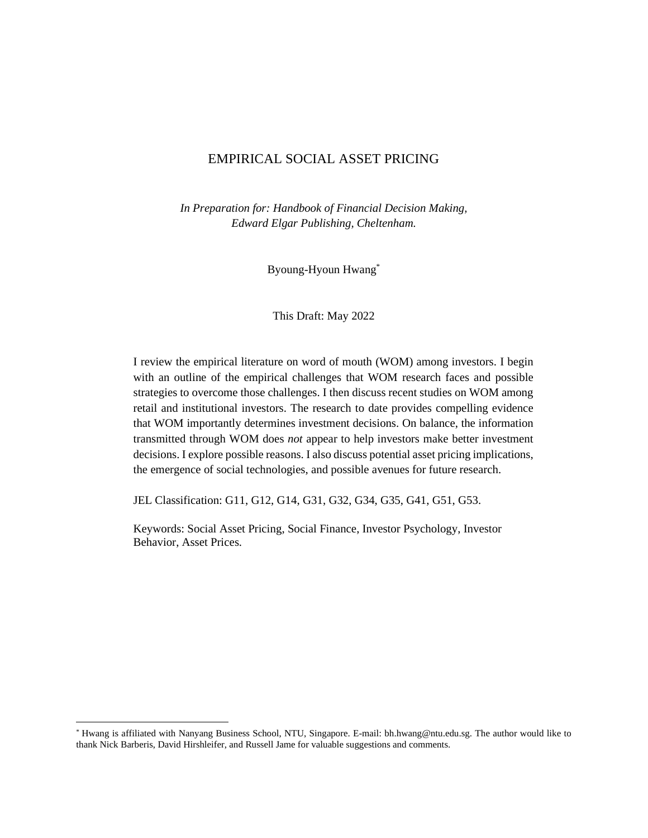# EMPIRICAL SOCIAL ASSET PRICING

*In Preparation for: Handbook of Financial Decision Making, Edward Elgar Publishing, Cheltenham.* 

Byoung-Hyoun Hwang[\\*](#page-0-0)

This Draft: May 2022

I review the empirical literature on word of mouth (WOM) among investors. I begin with an outline of the empirical challenges that WOM research faces and possible strategies to overcome those challenges. I then discuss recent studies on WOM among retail and institutional investors. The research to date provides compelling evidence that WOM importantly determines investment decisions. On balance, the information transmitted through WOM does *not* appear to help investors make better investment decisions. I explore possible reasons. I also discuss potential asset pricing implications, the emergence of social technologies, and possible avenues for future research.

JEL Classification: G11, G12, G14, G31, G32, G34, G35, G41, G51, G53.

Keywords: Social Asset Pricing, Social Finance, Investor Psychology, Investor Behavior, Asset Prices.

<span id="page-0-0"></span><sup>\*</sup> Hwang is affiliated with Nanyang Business School, NTU, Singapore. E-mail: bh.hwang@ntu.edu.sg. The author would like to thank Nick Barberis, David Hirshleifer, and Russell Jame for valuable suggestions and comments.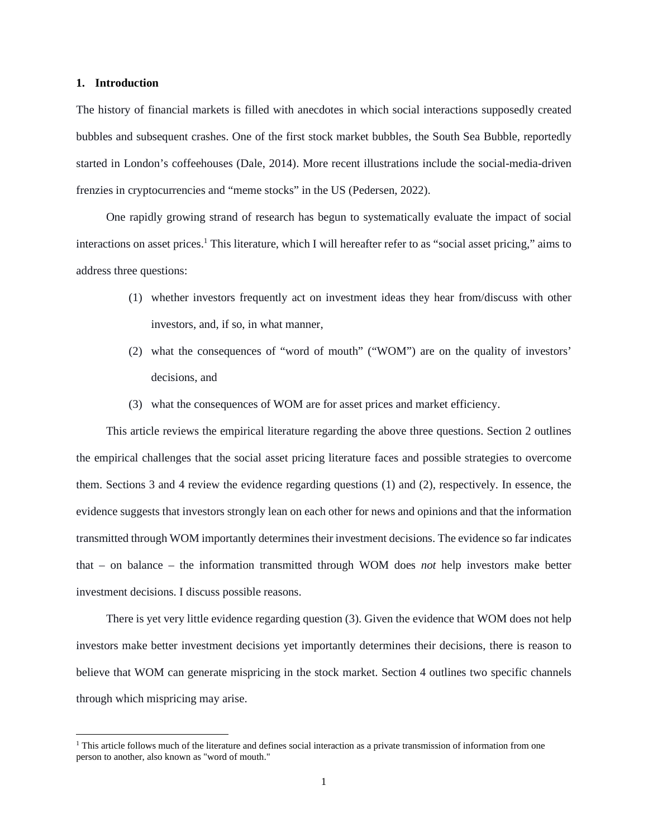#### **1. Introduction**

The history of financial markets is filled with anecdotes in which social interactions supposedly created bubbles and subsequent crashes. One of the first stock market bubbles, the South Sea Bubble, reportedly started in London's coffeehouses (Dale, 2014). More recent illustrations include the social-media-driven frenzies in cryptocurrencies and "meme stocks" in the US (Pedersen, 2022).

One rapidly growing strand of research has begun to systematically evaluate the impact of social interactions on asset prices.<sup>[1](#page-1-0)</sup> This literature, which I will hereafter refer to as "social asset pricing," aims to address three questions:

- (1) whether investors frequently act on investment ideas they hear from/discuss with other investors, and, if so, in what manner,
- (2) what the consequences of "word of mouth" ("WOM") are on the quality of investors' decisions, and
- (3) what the consequences of WOM are for asset prices and market efficiency.

This article reviews the empirical literature regarding the above three questions. Section 2 outlines the empirical challenges that the social asset pricing literature faces and possible strategies to overcome them. Sections 3 and 4 review the evidence regarding questions (1) and (2), respectively. In essence, the evidence suggests that investors strongly lean on each other for news and opinions and that the information transmitted through WOM importantly determines their investment decisions. The evidence so far indicates that – on balance – the information transmitted through WOM does *not* help investors make better investment decisions. I discuss possible reasons.

There is yet very little evidence regarding question (3). Given the evidence that WOM does not help investors make better investment decisions yet importantly determines their decisions, there is reason to believe that WOM can generate mispricing in the stock market. Section 4 outlines two specific channels through which mispricing may arise.

<span id="page-1-0"></span><sup>&</sup>lt;sup>1</sup> This article follows much of the literature and defines social interaction as a private transmission of information from one person to another, also known as "word of mouth."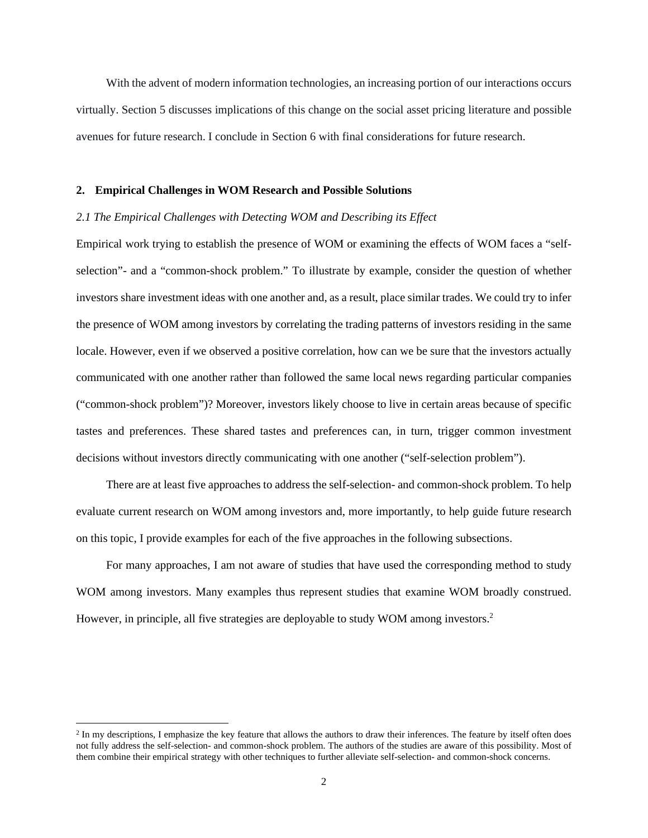With the advent of modern information technologies, an increasing portion of our interactions occurs virtually. Section 5 discusses implications of this change on the social asset pricing literature and possible avenues for future research. I conclude in Section 6 with final considerations for future research.

#### **2. Empirical Challenges in WOM Research and Possible Solutions**

## *2.1 The Empirical Challenges with Detecting WOM and Describing its Effect*

Empirical work trying to establish the presence of WOM or examining the effects of WOM faces a "selfselection"- and a "common-shock problem." To illustrate by example, consider the question of whether investors share investment ideas with one another and, as a result, place similar trades. We could try to infer the presence of WOM among investors by correlating the trading patterns of investors residing in the same locale. However, even if we observed a positive correlation, how can we be sure that the investors actually communicated with one another rather than followed the same local news regarding particular companies ("common-shock problem")? Moreover, investors likely choose to live in certain areas because of specific tastes and preferences. These shared tastes and preferences can, in turn, trigger common investment decisions without investors directly communicating with one another ("self-selection problem").

There are at least five approaches to address the self-selection- and common-shock problem. To help evaluate current research on WOM among investors and, more importantly, to help guide future research on this topic, I provide examples for each of the five approaches in the following subsections.

For many approaches, I am not aware of studies that have used the corresponding method to study WOM among investors. Many examples thus represent studies that examine WOM broadly construed. However, in principle, all five strategies are deployable to study WOM among investors.<sup>[2](#page-2-0)</sup>

<span id="page-2-0"></span> $2 \text{ In }$  my descriptions, I emphasize the key feature that allows the authors to draw their inferences. The feature by itself often does not fully address the self-selection- and common-shock problem. The authors of the studies are aware of this possibility. Most of them combine their empirical strategy with other techniques to further alleviate self-selection- and common-shock concerns.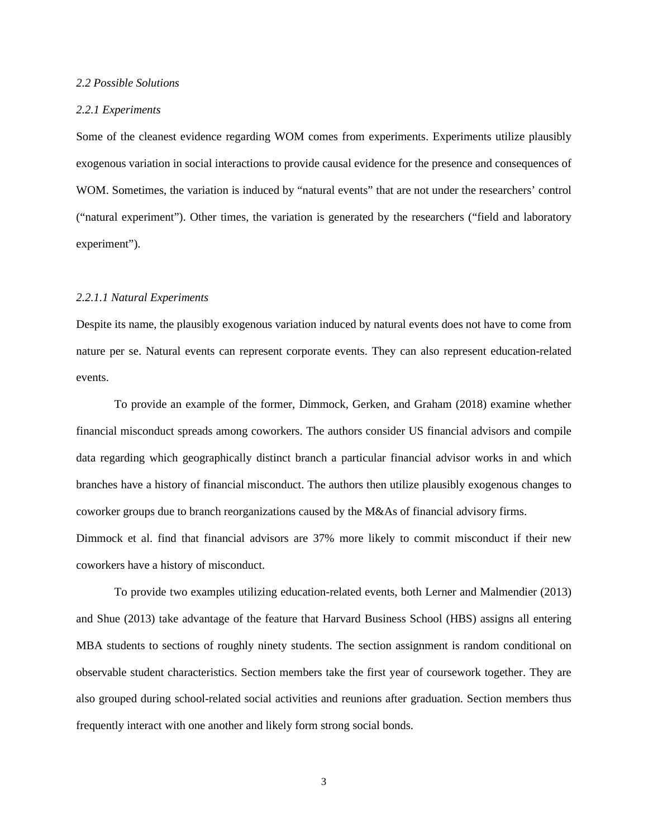#### *2.2 Possible Solutions*

#### *2.2.1 Experiments*

Some of the cleanest evidence regarding WOM comes from experiments. Experiments utilize plausibly exogenous variation in social interactions to provide causal evidence for the presence and consequences of WOM. Sometimes, the variation is induced by "natural events" that are not under the researchers' control ("natural experiment"). Other times, the variation is generated by the researchers ("field and laboratory experiment").

# *2.2.1.1 Natural Experiments*

Despite its name, the plausibly exogenous variation induced by natural events does not have to come from nature per se. Natural events can represent corporate events. They can also represent education-related events.

To provide an example of the former, Dimmock, Gerken, and Graham (2018) examine whether financial misconduct spreads among coworkers. The authors consider US financial advisors and compile data regarding which geographically distinct branch a particular financial advisor works in and which branches have a history of financial misconduct. The authors then utilize plausibly exogenous changes to coworker groups due to branch reorganizations caused by the M&As of financial advisory firms.

Dimmock et al. find that financial advisors are 37% more likely to commit misconduct if their new coworkers have a history of misconduct.

To provide two examples utilizing education-related events, both Lerner and Malmendier (2013) and Shue (2013) take advantage of the feature that Harvard Business School (HBS) assigns all entering MBA students to sections of roughly ninety students. The section assignment is random conditional on observable student characteristics. Section members take the first year of coursework together. They are also grouped during school-related social activities and reunions after graduation. Section members thus frequently interact with one another and likely form strong social bonds.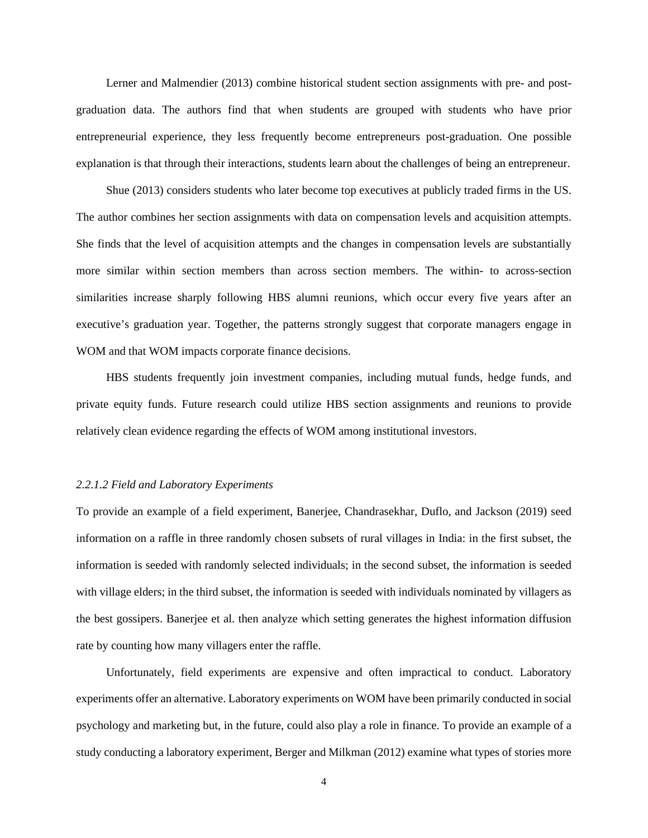Lerner and Malmendier (2013) combine historical student section assignments with pre- and postgraduation data. The authors find that when students are grouped with students who have prior entrepreneurial experience, they less frequently become entrepreneurs post-graduation. One possible explanation is that through their interactions, students learn about the challenges of being an entrepreneur.

Shue (2013) considers students who later become top executives at publicly traded firms in the US. The author combines her section assignments with data on compensation levels and acquisition attempts. She finds that the level of acquisition attempts and the changes in compensation levels are substantially more similar within section members than across section members. The within- to across-section similarities increase sharply following HBS alumni reunions, which occur every five years after an executive's graduation year. Together, the patterns strongly suggest that corporate managers engage in WOM and that WOM impacts corporate finance decisions.

HBS students frequently join investment companies, including mutual funds, hedge funds, and private equity funds. Future research could utilize HBS section assignments and reunions to provide relatively clean evidence regarding the effects of WOM among institutional investors.

#### *2.2.1.2 Field and Laboratory Experiments*

To provide an example of a field experiment, Banerjee, Chandrasekhar, Duflo, and Jackson (2019) seed information on a raffle in three randomly chosen subsets of rural villages in India: in the first subset, the information is seeded with randomly selected individuals; in the second subset, the information is seeded with village elders; in the third subset, the information is seeded with individuals nominated by villagers as the best gossipers. Banerjee et al. then analyze which setting generates the highest information diffusion rate by counting how many villagers enter the raffle.

Unfortunately, field experiments are expensive and often impractical to conduct. Laboratory experiments offer an alternative. Laboratory experiments on WOM have been primarily conducted in social psychology and marketing but, in the future, could also play a role in finance. To provide an example of a study conducting a laboratory experiment, Berger and Milkman (2012) examine what types of stories more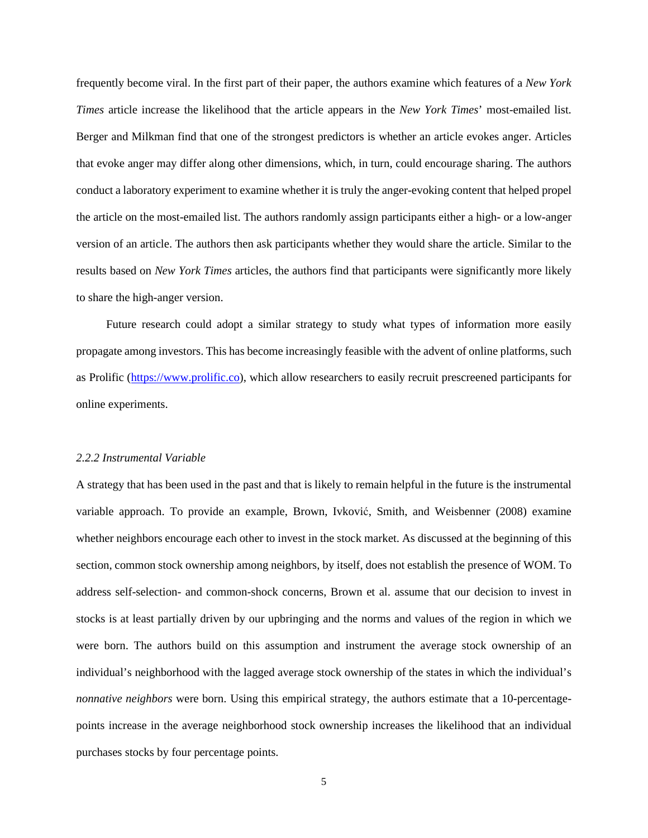frequently become viral. In the first part of their paper, the authors examine which features of a *New York Times* article increase the likelihood that the article appears in the *New York Times*' most-emailed list. Berger and Milkman find that one of the strongest predictors is whether an article evokes anger. Articles that evoke anger may differ along other dimensions, which, in turn, could encourage sharing. The authors conduct a laboratory experiment to examine whether it is truly the anger-evoking content that helped propel the article on the most-emailed list. The authors randomly assign participants either a high- or a low-anger version of an article. The authors then ask participants whether they would share the article. Similar to the results based on *New York Times* articles, the authors find that participants were significantly more likely to share the high-anger version.

Future research could adopt a similar strategy to study what types of information more easily propagate among investors. This has become increasingly feasible with the advent of online platforms, such as Prolific ([https://www.prolific.co\)](https://www.prolific.co/), which allow researchers to easily recruit prescreened participants for online experiments.

#### *2.2.2 Instrumental Variable*

A strategy that has been used in the past and that is likely to remain helpful in the future is the instrumental variable approach. To provide an example, Brown, Ivković, Smith, and Weisbenner (2008) examine whether neighbors encourage each other to invest in the stock market. As discussed at the beginning of this section, common stock ownership among neighbors, by itself, does not establish the presence of WOM. To address self-selection- and common-shock concerns, Brown et al. assume that our decision to invest in stocks is at least partially driven by our upbringing and the norms and values of the region in which we were born. The authors build on this assumption and instrument the average stock ownership of an individual's neighborhood with the lagged average stock ownership of the states in which the individual's *nonnative neighbors* were born. Using this empirical strategy, the authors estimate that a 10-percentagepoints increase in the average neighborhood stock ownership increases the likelihood that an individual purchases stocks by four percentage points.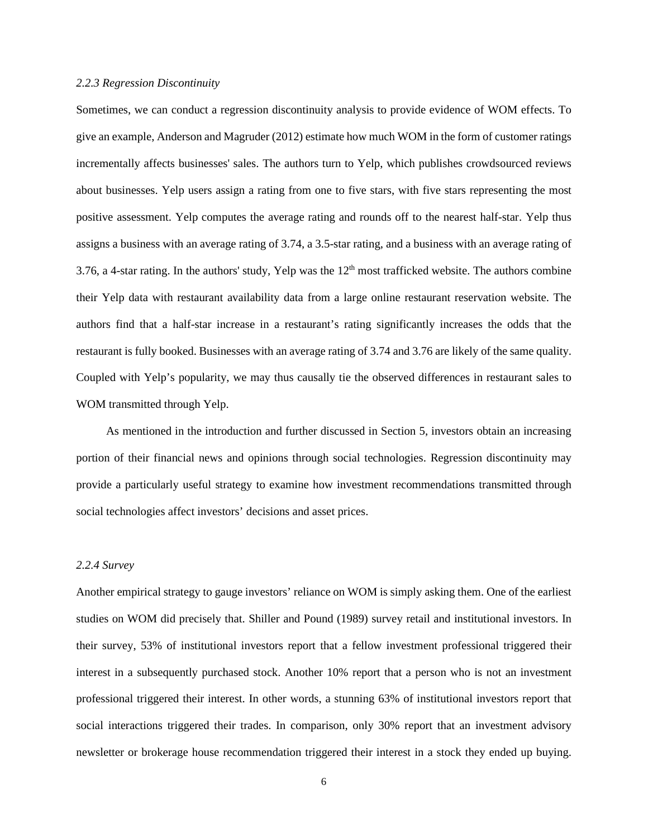#### *2.2.3 Regression Discontinuity*

Sometimes, we can conduct a regression discontinuity analysis to provide evidence of WOM effects. To give an example, Anderson and Magruder (2012) estimate how much WOM in the form of customer ratings incrementally affects businesses' sales. The authors turn to Yelp, which publishes crowdsourced reviews about businesses. Yelp users assign a rating from one to five stars, with five stars representing the most positive assessment. Yelp computes the average rating and rounds off to the nearest half-star. Yelp thus assigns a business with an average rating of 3.74, a 3.5-star rating, and a business with an average rating of 3.76, a 4-star rating. In the authors' study, Yelp was the  $12<sup>th</sup>$  most trafficked website. The authors combine their Yelp data with restaurant availability data from a large online restaurant reservation website. The authors find that a half-star increase in a restaurant's rating significantly increases the odds that the restaurant is fully booked. Businesses with an average rating of 3.74 and 3.76 are likely of the same quality. Coupled with Yelp's popularity, we may thus causally tie the observed differences in restaurant sales to WOM transmitted through Yelp.

As mentioned in the introduction and further discussed in Section 5, investors obtain an increasing portion of their financial news and opinions through social technologies. Regression discontinuity may provide a particularly useful strategy to examine how investment recommendations transmitted through social technologies affect investors' decisions and asset prices.

# *2.2.4 Survey*

Another empirical strategy to gauge investors' reliance on WOM is simply asking them. One of the earliest studies on WOM did precisely that. Shiller and Pound (1989) survey retail and institutional investors. In their survey, 53% of institutional investors report that a fellow investment professional triggered their interest in a subsequently purchased stock. Another 10% report that a person who is not an investment professional triggered their interest. In other words, a stunning 63% of institutional investors report that social interactions triggered their trades. In comparison, only 30% report that an investment advisory newsletter or brokerage house recommendation triggered their interest in a stock they ended up buying.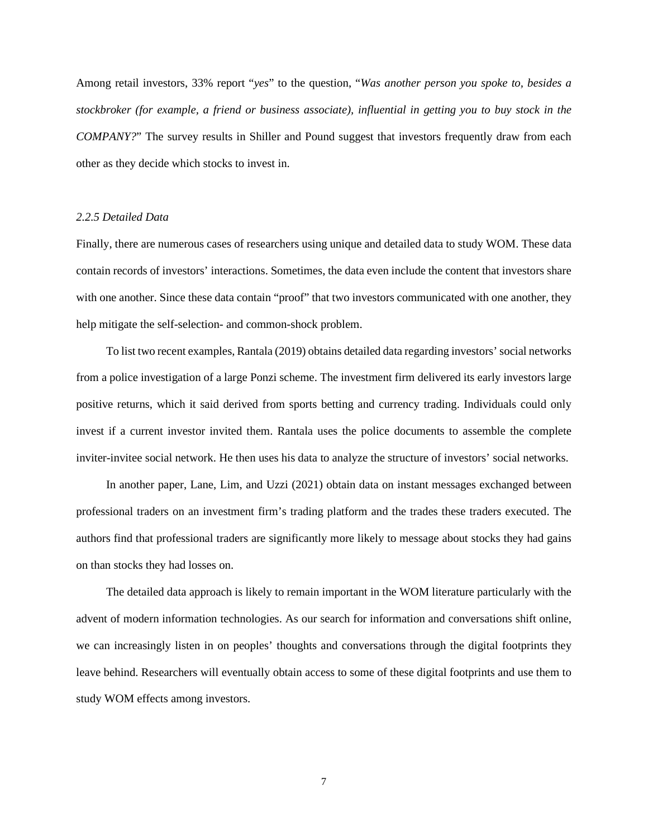Among retail investors, 33% report "*yes*" to the question, "*Was another person you spoke to, besides a stockbroker (for example, a friend or business associate), influential in getting you to buy stock in the COMPANY?*" The survey results in Shiller and Pound suggest that investors frequently draw from each other as they decide which stocks to invest in.

#### *2.2.5 Detailed Data*

Finally, there are numerous cases of researchers using unique and detailed data to study WOM. These data contain records of investors' interactions. Sometimes, the data even include the content that investors share with one another. Since these data contain "proof" that two investors communicated with one another, they help mitigate the self-selection- and common-shock problem.

To list two recent examples, Rantala (2019) obtains detailed data regarding investors' social networks from a police investigation of a large Ponzi scheme. The investment firm delivered its early investors large positive returns, which it said derived from sports betting and currency trading. Individuals could only invest if a current investor invited them. Rantala uses the police documents to assemble the complete inviter-invitee social network. He then uses his data to analyze the structure of investors' social networks.

In another paper, Lane, Lim, and Uzzi (2021) obtain data on instant messages exchanged between professional traders on an investment firm's trading platform and the trades these traders executed. The authors find that professional traders are significantly more likely to message about stocks they had gains on than stocks they had losses on.

The detailed data approach is likely to remain important in the WOM literature particularly with the advent of modern information technologies. As our search for information and conversations shift online, we can increasingly listen in on peoples' thoughts and conversations through the digital footprints they leave behind. Researchers will eventually obtain access to some of these digital footprints and use them to study WOM effects among investors.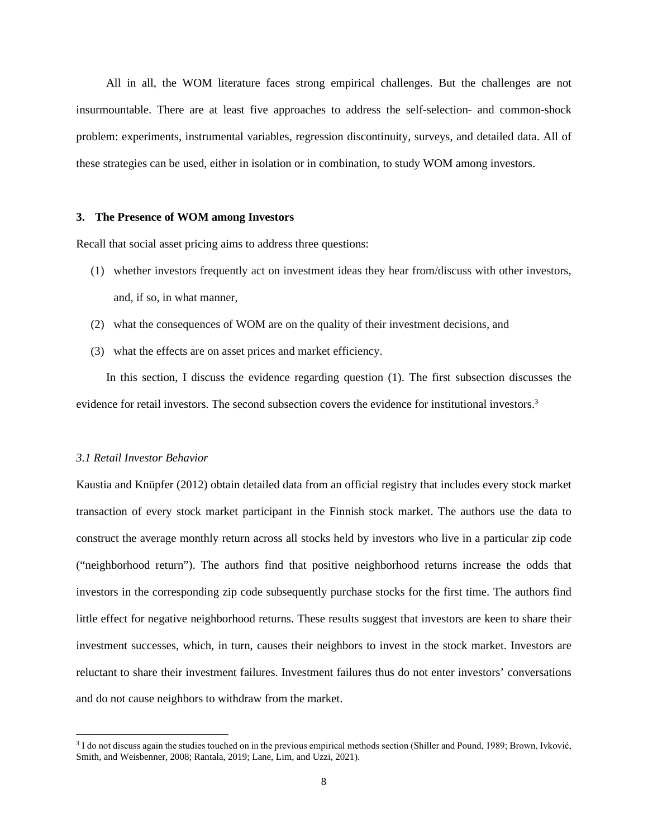All in all, the WOM literature faces strong empirical challenges. But the challenges are not insurmountable. There are at least five approaches to address the self-selection- and common-shock problem: experiments, instrumental variables, regression discontinuity, surveys, and detailed data. All of these strategies can be used, either in isolation or in combination, to study WOM among investors.

#### **3. The Presence of WOM among Investors**

Recall that social asset pricing aims to address three questions:

- (1) whether investors frequently act on investment ideas they hear from/discuss with other investors, and, if so, in what manner,
- (2) what the consequences of WOM are on the quality of their investment decisions, and
- (3) what the effects are on asset prices and market efficiency.

In this section, I discuss the evidence regarding question (1). The first subsection discusses the evidence for retail investors. The second subsection covers the evidence for institutional investors.<sup>[3](#page-8-0)</sup>

#### *3.1 Retail Investor Behavior*

Kaustia and Knüpfer (2012) obtain detailed data from an official registry that includes every stock market transaction of every stock market participant in the Finnish stock market. The authors use the data to construct the average monthly return across all stocks held by investors who live in a particular zip code ("neighborhood return"). The authors find that positive neighborhood returns increase the odds that investors in the corresponding zip code subsequently purchase stocks for the first time. The authors find little effect for negative neighborhood returns. These results suggest that investors are keen to share their investment successes, which, in turn, causes their neighbors to invest in the stock market. Investors are reluctant to share their investment failures. Investment failures thus do not enter investors' conversations and do not cause neighbors to withdraw from the market.

<span id="page-8-0"></span><sup>3</sup> I do not discuss again the studies touched on in the previous empirical methods section (Shiller and Pound, 1989; Brown, Ivković, Smith, and Weisbenner, 2008; Rantala, 2019; Lane, Lim, and Uzzi, 2021).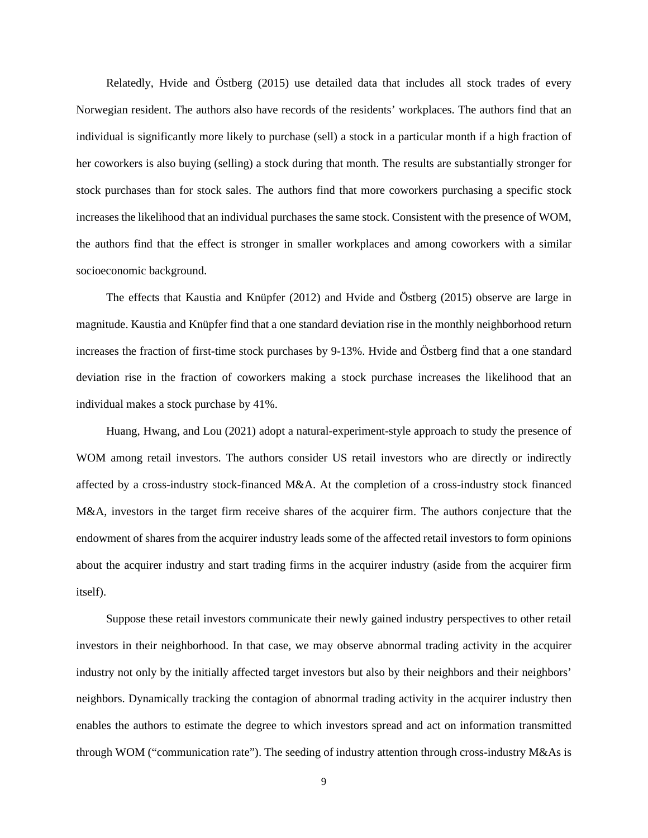Relatedly, Hvide and Östberg (2015) use detailed data that includes all stock trades of every Norwegian resident. The authors also have records of the residents' workplaces. The authors find that an individual is significantly more likely to purchase (sell) a stock in a particular month if a high fraction of her coworkers is also buying (selling) a stock during that month. The results are substantially stronger for stock purchases than for stock sales. The authors find that more coworkers purchasing a specific stock increases the likelihood that an individual purchases the same stock. Consistent with the presence of WOM, the authors find that the effect is stronger in smaller workplaces and among coworkers with a similar socioeconomic background.

The effects that Kaustia and Knüpfer (2012) and Hvide and Östberg (2015) observe are large in magnitude. Kaustia and Knüpfer find that a one standard deviation rise in the monthly neighborhood return increases the fraction of first-time stock purchases by 9-13%. Hvide and Östberg find that a one standard deviation rise in the fraction of coworkers making a stock purchase increases the likelihood that an individual makes a stock purchase by 41%.

Huang, Hwang, and Lou (2021) adopt a natural-experiment-style approach to study the presence of WOM among retail investors. The authors consider US retail investors who are directly or indirectly affected by a cross-industry stock-financed M&A. At the completion of a cross-industry stock financed M&A, investors in the target firm receive shares of the acquirer firm. The authors conjecture that the endowment of shares from the acquirer industry leads some of the affected retail investors to form opinions about the acquirer industry and start trading firms in the acquirer industry (aside from the acquirer firm itself).

Suppose these retail investors communicate their newly gained industry perspectives to other retail investors in their neighborhood. In that case, we may observe abnormal trading activity in the acquirer industry not only by the initially affected target investors but also by their neighbors and their neighbors' neighbors. Dynamically tracking the contagion of abnormal trading activity in the acquirer industry then enables the authors to estimate the degree to which investors spread and act on information transmitted through WOM ("communication rate"). The seeding of industry attention through cross-industry M&As is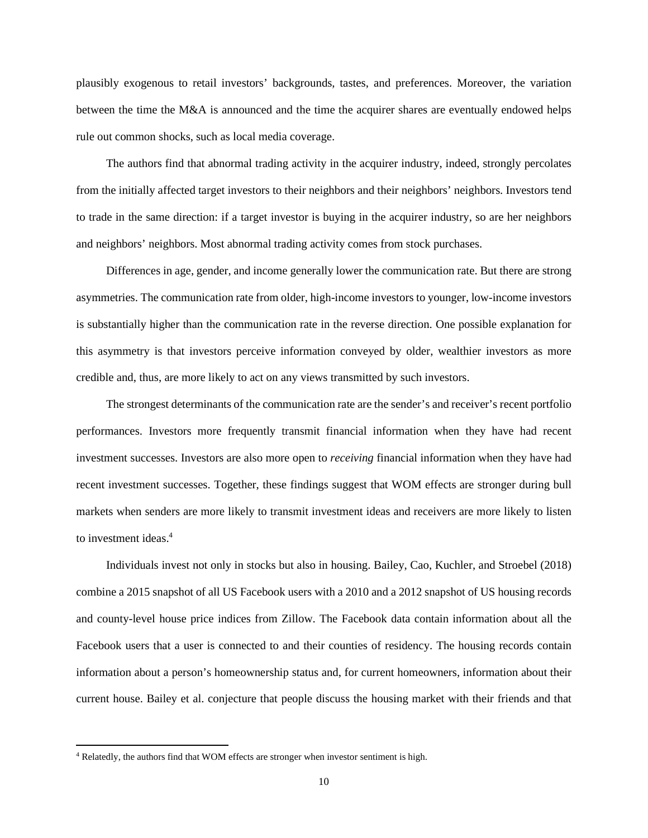plausibly exogenous to retail investors' backgrounds, tastes, and preferences. Moreover, the variation between the time the M&A is announced and the time the acquirer shares are eventually endowed helps rule out common shocks, such as local media coverage.

The authors find that abnormal trading activity in the acquirer industry, indeed, strongly percolates from the initially affected target investors to their neighbors and their neighbors' neighbors. Investors tend to trade in the same direction: if a target investor is buying in the acquirer industry, so are her neighbors and neighbors' neighbors. Most abnormal trading activity comes from stock purchases.

Differences in age, gender, and income generally lower the communication rate. But there are strong asymmetries. The communication rate from older, high-income investors to younger, low-income investors is substantially higher than the communication rate in the reverse direction. One possible explanation for this asymmetry is that investors perceive information conveyed by older, wealthier investors as more credible and, thus, are more likely to act on any views transmitted by such investors.

The strongest determinants of the communication rate are the sender's and receiver's recent portfolio performances. Investors more frequently transmit financial information when they have had recent investment successes. Investors are also more open to *receiving* financial information when they have had recent investment successes. Together, these findings suggest that WOM effects are stronger during bull markets when senders are more likely to transmit investment ideas and receivers are more likely to listen to investment ideas.[4](#page-10-0)

Individuals invest not only in stocks but also in housing. Bailey, Cao, Kuchler, and Stroebel (2018) combine a 2015 snapshot of all US Facebook users with a 2010 and a 2012 snapshot of US housing records and county-level house price indices from Zillow. The Facebook data contain information about all the Facebook users that a user is connected to and their counties of residency. The housing records contain information about a person's homeownership status and, for current homeowners, information about their current house. Bailey et al. conjecture that people discuss the housing market with their friends and that

<span id="page-10-0"></span><sup>&</sup>lt;sup>4</sup> Relatedly, the authors find that WOM effects are stronger when investor sentiment is high.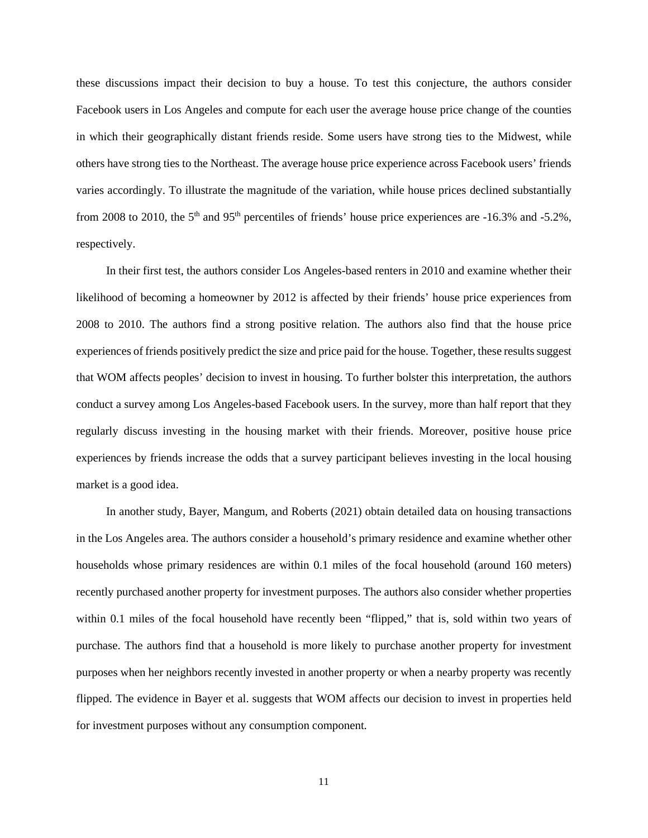these discussions impact their decision to buy a house. To test this conjecture, the authors consider Facebook users in Los Angeles and compute for each user the average house price change of the counties in which their geographically distant friends reside. Some users have strong ties to the Midwest, while others have strong ties to the Northeast. The average house price experience across Facebook users' friends varies accordingly. To illustrate the magnitude of the variation, while house prices declined substantially from 2008 to 2010, the  $5<sup>th</sup>$  and 95<sup>th</sup> percentiles of friends' house price experiences are -16.3% and -5.2%, respectively.

In their first test, the authors consider Los Angeles-based renters in 2010 and examine whether their likelihood of becoming a homeowner by 2012 is affected by their friends' house price experiences from 2008 to 2010. The authors find a strong positive relation. The authors also find that the house price experiences of friends positively predict the size and price paid for the house. Together, these results suggest that WOM affects peoples' decision to invest in housing. To further bolster this interpretation, the authors conduct a survey among Los Angeles-based Facebook users. In the survey, more than half report that they regularly discuss investing in the housing market with their friends. Moreover, positive house price experiences by friends increase the odds that a survey participant believes investing in the local housing market is a good idea.

In another study, Bayer, Mangum, and Roberts (2021) obtain detailed data on housing transactions in the Los Angeles area. The authors consider a household's primary residence and examine whether other households whose primary residences are within 0.1 miles of the focal household (around 160 meters) recently purchased another property for investment purposes. The authors also consider whether properties within 0.1 miles of the focal household have recently been "flipped," that is, sold within two years of purchase. The authors find that a household is more likely to purchase another property for investment purposes when her neighbors recently invested in another property or when a nearby property was recently flipped. The evidence in Bayer et al. suggests that WOM affects our decision to invest in properties held for investment purposes without any consumption component.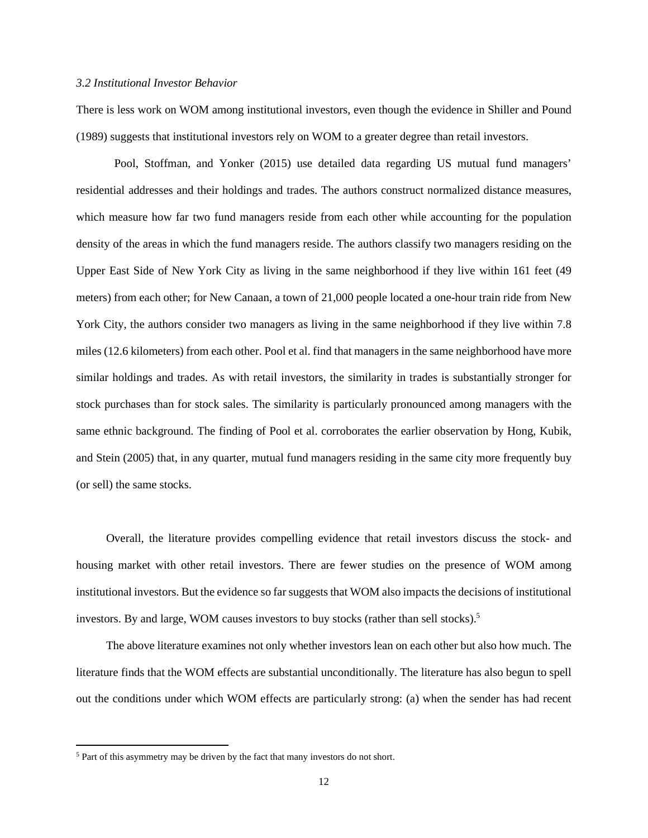#### *3.2 Institutional Investor Behavior*

There is less work on WOM among institutional investors, even though the evidence in Shiller and Pound (1989) suggests that institutional investors rely on WOM to a greater degree than retail investors.

 Pool, Stoffman, and Yonker (2015) use detailed data regarding US mutual fund managers' residential addresses and their holdings and trades. The authors construct normalized distance measures, which measure how far two fund managers reside from each other while accounting for the population density of the areas in which the fund managers reside. The authors classify two managers residing on the Upper East Side of New York City as living in the same neighborhood if they live within 161 feet (49 meters) from each other; for New Canaan, a town of 21,000 people located a one-hour train ride from New York City, the authors consider two managers as living in the same neighborhood if they live within 7.8 miles (12.6 kilometers) from each other. Pool et al. find that managers in the same neighborhood have more similar holdings and trades. As with retail investors, the similarity in trades is substantially stronger for stock purchases than for stock sales. The similarity is particularly pronounced among managers with the same ethnic background. The finding of Pool et al. corroborates the earlier observation by Hong, Kubik, and Stein (2005) that, in any quarter, mutual fund managers residing in the same city more frequently buy (or sell) the same stocks.

Overall, the literature provides compelling evidence that retail investors discuss the stock- and housing market with other retail investors. There are fewer studies on the presence of WOM among institutional investors. But the evidence so far suggests that WOM also impacts the decisions of institutional investors. By and large, WOM causes investors to buy stocks (rather than sell stocks).<sup>[5](#page-12-0)</sup>

The above literature examines not only whether investors lean on each other but also how much. The literature finds that the WOM effects are substantial unconditionally. The literature has also begun to spell out the conditions under which WOM effects are particularly strong: (a) when the sender has had recent

<span id="page-12-0"></span><sup>&</sup>lt;sup>5</sup> Part of this asymmetry may be driven by the fact that many investors do not short.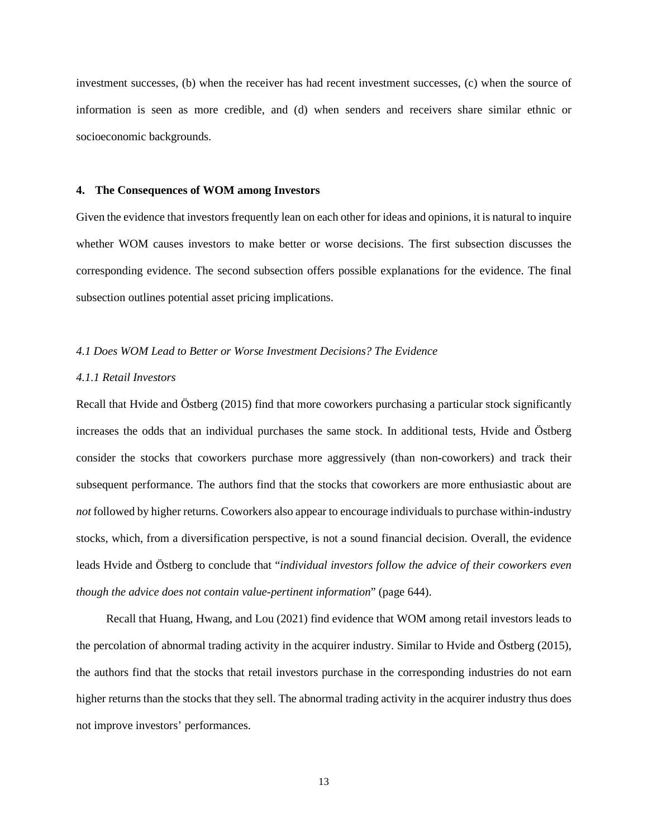investment successes, (b) when the receiver has had recent investment successes, (c) when the source of information is seen as more credible, and (d) when senders and receivers share similar ethnic or socioeconomic backgrounds.

#### **4. The Consequences of WOM among Investors**

Given the evidence that investors frequently lean on each other for ideas and opinions, it is natural to inquire whether WOM causes investors to make better or worse decisions. The first subsection discusses the corresponding evidence. The second subsection offers possible explanations for the evidence. The final subsection outlines potential asset pricing implications.

#### *4.1 Does WOM Lead to Better or Worse Investment Decisions? The Evidence*

# *4.1.1 Retail Investors*

Recall that Hvide and Östberg (2015) find that more coworkers purchasing a particular stock significantly increases the odds that an individual purchases the same stock. In additional tests, Hvide and Östberg consider the stocks that coworkers purchase more aggressively (than non-coworkers) and track their subsequent performance. The authors find that the stocks that coworkers are more enthusiastic about are *not* followed by higher returns. Coworkers also appear to encourage individuals to purchase within-industry stocks, which, from a diversification perspective, is not a sound financial decision. Overall, the evidence leads Hvide and Östberg to conclude that "*individual investors follow the advice of their coworkers even though the advice does not contain value-pertinent information*" (page 644).

Recall that Huang, Hwang, and Lou (2021) find evidence that WOM among retail investors leads to the percolation of abnormal trading activity in the acquirer industry. Similar to Hvide and Östberg (2015), the authors find that the stocks that retail investors purchase in the corresponding industries do not earn higher returns than the stocks that they sell. The abnormal trading activity in the acquirer industry thus does not improve investors' performances.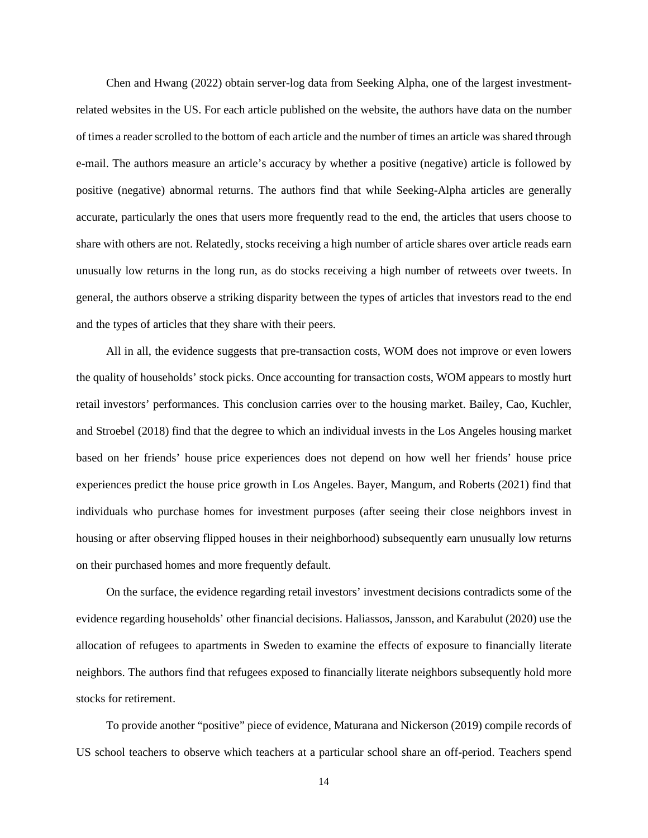Chen and Hwang (2022) obtain server-log data from Seeking Alpha, one of the largest investmentrelated websites in the US. For each article published on the website, the authors have data on the number of times a reader scrolled to the bottom of each article and the number of times an article was shared through e-mail. The authors measure an article's accuracy by whether a positive (negative) article is followed by positive (negative) abnormal returns. The authors find that while Seeking-Alpha articles are generally accurate, particularly the ones that users more frequently read to the end, the articles that users choose to share with others are not. Relatedly, stocks receiving a high number of article shares over article reads earn unusually low returns in the long run, as do stocks receiving a high number of retweets over tweets. In general, the authors observe a striking disparity between the types of articles that investors read to the end and the types of articles that they share with their peers.

All in all, the evidence suggests that pre-transaction costs, WOM does not improve or even lowers the quality of households' stock picks. Once accounting for transaction costs, WOM appears to mostly hurt retail investors' performances. This conclusion carries over to the housing market. Bailey, Cao, Kuchler, and Stroebel (2018) find that the degree to which an individual invests in the Los Angeles housing market based on her friends' house price experiences does not depend on how well her friends' house price experiences predict the house price growth in Los Angeles. Bayer, Mangum, and Roberts (2021) find that individuals who purchase homes for investment purposes (after seeing their close neighbors invest in housing or after observing flipped houses in their neighborhood) subsequently earn unusually low returns on their purchased homes and more frequently default.

On the surface, the evidence regarding retail investors' investment decisions contradicts some of the evidence regarding households' other financial decisions. Haliassos, Jansson, and Karabulut (2020) use the allocation of refugees to apartments in Sweden to examine the effects of exposure to financially literate neighbors. The authors find that refugees exposed to financially literate neighbors subsequently hold more stocks for retirement.

To provide another "positive" piece of evidence, Maturana and Nickerson (2019) compile records of US school teachers to observe which teachers at a particular school share an off-period. Teachers spend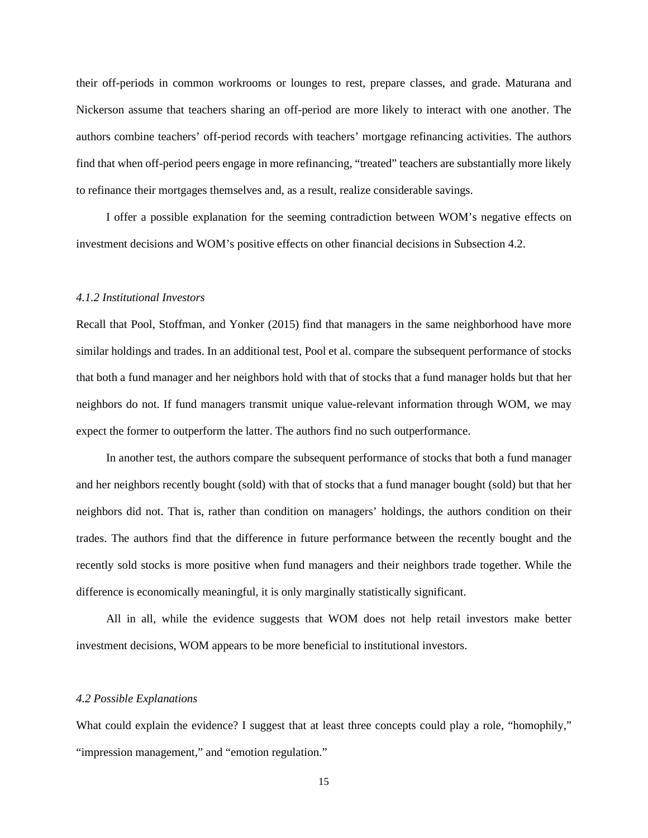their off-periods in common workrooms or lounges to rest, prepare classes, and grade. Maturana and Nickerson assume that teachers sharing an off-period are more likely to interact with one another. The authors combine teachers' off-period records with teachers' mortgage refinancing activities. The authors find that when off-period peers engage in more refinancing, "treated" teachers are substantially more likely to refinance their mortgages themselves and, as a result, realize considerable savings.

I offer a possible explanation for the seeming contradiction between WOM's negative effects on investment decisions and WOM's positive effects on other financial decisions in Subsection 4.2.

# *4.1.2 Institutional Investors*

Recall that Pool, Stoffman, and Yonker (2015) find that managers in the same neighborhood have more similar holdings and trades. In an additional test, Pool et al. compare the subsequent performance of stocks that both a fund manager and her neighbors hold with that of stocks that a fund manager holds but that her neighbors do not. If fund managers transmit unique value-relevant information through WOM, we may expect the former to outperform the latter. The authors find no such outperformance.

In another test, the authors compare the subsequent performance of stocks that both a fund manager and her neighbors recently bought (sold) with that of stocks that a fund manager bought (sold) but that her neighbors did not. That is, rather than condition on managers' holdings, the authors condition on their trades. The authors find that the difference in future performance between the recently bought and the recently sold stocks is more positive when fund managers and their neighbors trade together. While the difference is economically meaningful, it is only marginally statistically significant.

All in all, while the evidence suggests that WOM does not help retail investors make better investment decisions, WOM appears to be more beneficial to institutional investors.

# *4.2 Possible Explanations*

What could explain the evidence? I suggest that at least three concepts could play a role, "homophily," "impression management," and "emotion regulation."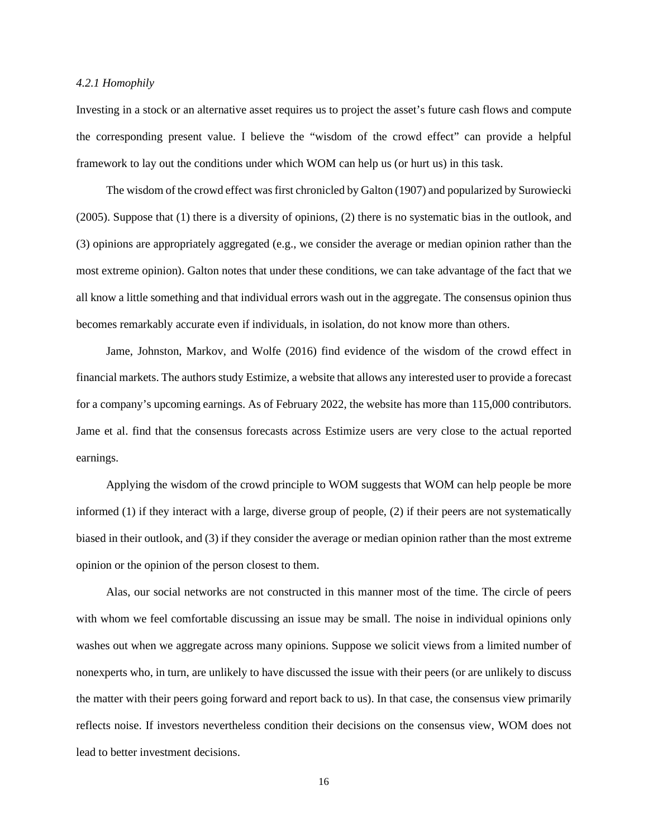#### *4.2.1 Homophily*

Investing in a stock or an alternative asset requires us to project the asset's future cash flows and compute the corresponding present value. I believe the "wisdom of the crowd effect" can provide a helpful framework to lay out the conditions under which WOM can help us (or hurt us) in this task.

The wisdom of the crowd effect was first chronicled by Galton (1907) and popularized by Surowiecki (2005). Suppose that (1) there is a diversity of opinions, (2) there is no systematic bias in the outlook, and (3) opinions are appropriately aggregated (e.g., we consider the average or median opinion rather than the most extreme opinion). Galton notes that under these conditions, we can take advantage of the fact that we all know a little something and that individual errors wash out in the aggregate. The consensus opinion thus becomes remarkably accurate even if individuals, in isolation, do not know more than others.

Jame, Johnston, Markov, and Wolfe (2016) find evidence of the wisdom of the crowd effect in financial markets. The authors study Estimize, a website that allows any interested user to provide a forecast for a company's upcoming earnings. As of February 2022, the website has more than 115,000 contributors. Jame et al. find that the consensus forecasts across Estimize users are very close to the actual reported earnings.

Applying the wisdom of the crowd principle to WOM suggests that WOM can help people be more informed (1) if they interact with a large, diverse group of people, (2) if their peers are not systematically biased in their outlook, and (3) if they consider the average or median opinion rather than the most extreme opinion or the opinion of the person closest to them.

Alas, our social networks are not constructed in this manner most of the time. The circle of peers with whom we feel comfortable discussing an issue may be small. The noise in individual opinions only washes out when we aggregate across many opinions. Suppose we solicit views from a limited number of nonexperts who, in turn, are unlikely to have discussed the issue with their peers (or are unlikely to discuss the matter with their peers going forward and report back to us). In that case, the consensus view primarily reflects noise. If investors nevertheless condition their decisions on the consensus view, WOM does not lead to better investment decisions.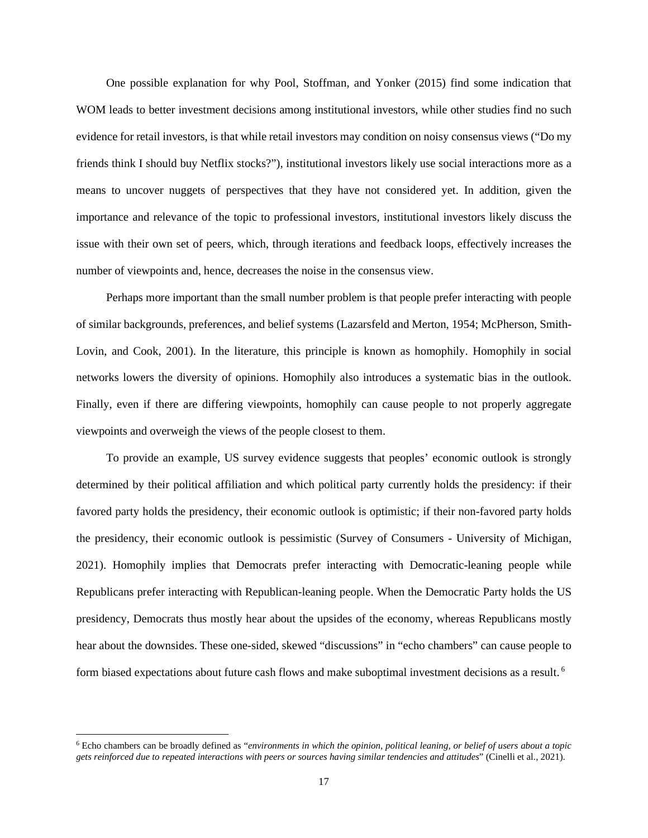One possible explanation for why Pool, Stoffman, and Yonker (2015) find some indication that WOM leads to better investment decisions among institutional investors, while other studies find no such evidence for retail investors, is that while retail investors may condition on noisy consensus views ("Do my friends think I should buy Netflix stocks?"), institutional investors likely use social interactions more as a means to uncover nuggets of perspectives that they have not considered yet. In addition, given the importance and relevance of the topic to professional investors, institutional investors likely discuss the issue with their own set of peers, which, through iterations and feedback loops, effectively increases the number of viewpoints and, hence, decreases the noise in the consensus view.

Perhaps more important than the small number problem is that people prefer interacting with people of similar backgrounds, preferences, and belief systems (Lazarsfeld and Merton, 1954; McPherson, Smith-Lovin, and Cook, 2001). In the literature, this principle is known as homophily. Homophily in social networks lowers the diversity of opinions. Homophily also introduces a systematic bias in the outlook. Finally, even if there are differing viewpoints, homophily can cause people to not properly aggregate viewpoints and overweigh the views of the people closest to them.

To provide an example, US survey evidence suggests that peoples' economic outlook is strongly determined by their political affiliation and which political party currently holds the presidency: if their favored party holds the presidency, their economic outlook is optimistic; if their non-favored party holds the presidency, their economic outlook is pessimistic (Survey of Consumers - University of Michigan, 2021). Homophily implies that Democrats prefer interacting with Democratic-leaning people while Republicans prefer interacting with Republican-leaning people. When the Democratic Party holds the US presidency, Democrats thus mostly hear about the upsides of the economy, whereas Republicans mostly hear about the downsides. These one-sided, skewed "discussions" in "echo chambers" can cause people to form biased expectations about future cash flows and make suboptimal investment decisions as a result. [6](#page-17-0)

<span id="page-17-0"></span><sup>6</sup> Echo chambers can be broadly defined as "*environments in which the opinion, political leaning, or belief of users about a topic gets reinforced due to repeated interactions with peers or sources having similar tendencies and attitudes*" (Cinelli et al., 2021).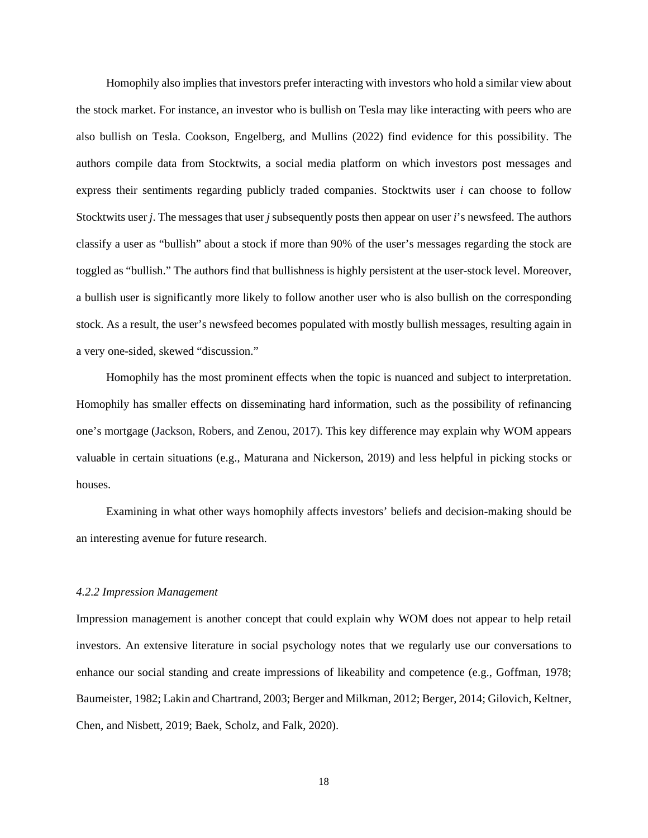Homophily also implies that investors prefer interacting with investors who hold a similar view about the stock market. For instance, an investor who is bullish on Tesla may like interacting with peers who are also bullish on Tesla. Cookson, Engelberg, and Mullins (2022) find evidence for this possibility. The authors compile data from Stocktwits, a social media platform on which investors post messages and express their sentiments regarding publicly traded companies. Stocktwits user *i* can choose to follow Stocktwits user *j*. The messages that user *j* subsequently posts then appear on user *i*'s newsfeed. The authors classify a user as "bullish" about a stock if more than 90% of the user's messages regarding the stock are toggled as "bullish." The authors find that bullishness is highly persistent at the user-stock level. Moreover, a bullish user is significantly more likely to follow another user who is also bullish on the corresponding stock. As a result, the user's newsfeed becomes populated with mostly bullish messages, resulting again in a very one-sided, skewed "discussion."

Homophily has the most prominent effects when the topic is nuanced and subject to interpretation. Homophily has smaller effects on disseminating hard information, such as the possibility of refinancing one's mortgage (Jackson, Robers, and Zenou, 2017). This key difference may explain why WOM appears valuable in certain situations (e.g., Maturana and Nickerson, 2019) and less helpful in picking stocks or houses.

Examining in what other ways homophily affects investors' beliefs and decision-making should be an interesting avenue for future research.

#### *4.2.2 Impression Management*

Impression management is another concept that could explain why WOM does not appear to help retail investors. An extensive literature in social psychology notes that we regularly use our conversations to enhance our social standing and create impressions of likeability and competence (e.g., Goffman, 1978; Baumeister, 1982; Lakin and Chartrand, 2003; Berger and Milkman, 2012; Berger, 2014; Gilovich, Keltner, Chen, and Nisbett, 2019; Baek, Scholz, and Falk, 2020).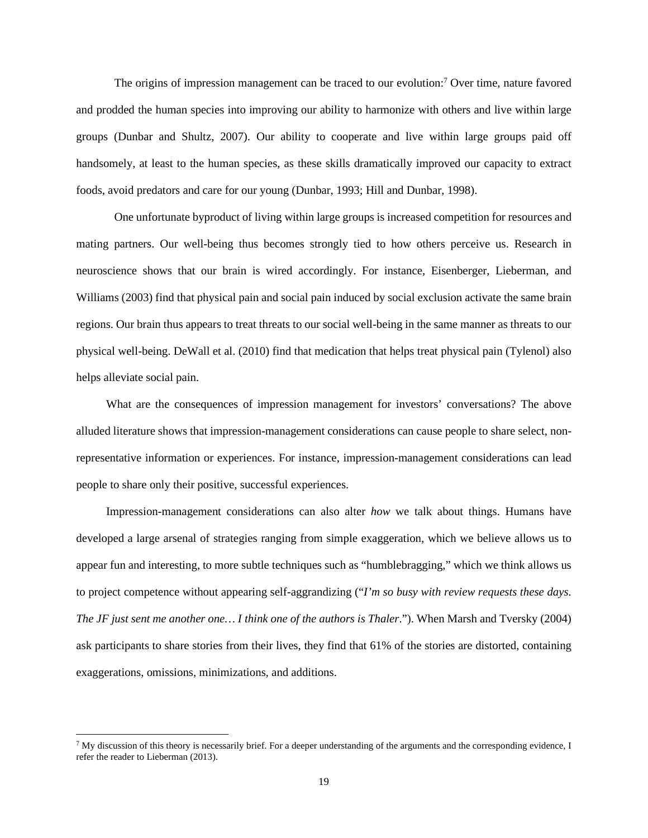The origins of impression management can be traced to our evolution:<sup>[7](#page-19-0)</sup> Over time, nature favored and prodded the human species into improving our ability to harmonize with others and live within large groups (Dunbar and Shultz, 2007). Our ability to cooperate and live within large groups paid off handsomely, at least to the human species, as these skills dramatically improved our capacity to extract foods, avoid predators and care for our young (Dunbar, 1993; Hill and Dunbar, 1998).

One unfortunate byproduct of living within large groups is increased competition for resources and mating partners. Our well-being thus becomes strongly tied to how others perceive us. Research in neuroscience shows that our brain is wired accordingly. For instance, Eisenberger, Lieberman, and Williams (2003) find that physical pain and social pain induced by social exclusion activate the same brain regions. Our brain thus appears to treat threats to our social well-being in the same manner as threats to our physical well-being. DeWall et al. (2010) find that medication that helps treat physical pain (Tylenol) also helps alleviate social pain.

What are the consequences of impression management for investors' conversations? The above alluded literature shows that impression-management considerations can cause people to share select, nonrepresentative information or experiences. For instance, impression-management considerations can lead people to share only their positive, successful experiences.

Impression-management considerations can also alter *how* we talk about things. Humans have developed a large arsenal of strategies ranging from simple exaggeration, which we believe allows us to appear fun and interesting, to more subtle techniques such as "humblebragging," which we think allows us to project competence without appearing self-aggrandizing ("*I'm so busy with review requests these days. The JF just sent me another one… I think one of the authors is Thaler*."). When Marsh and Tversky (2004) ask participants to share stories from their lives, they find that 61% of the stories are distorted, containing exaggerations, omissions, minimizations, and additions.

<span id="page-19-0"></span> $^7$  My discussion of this theory is necessarily brief. For a deeper understanding of the arguments and the corresponding evidence, I refer the reader to Lieberman (2013).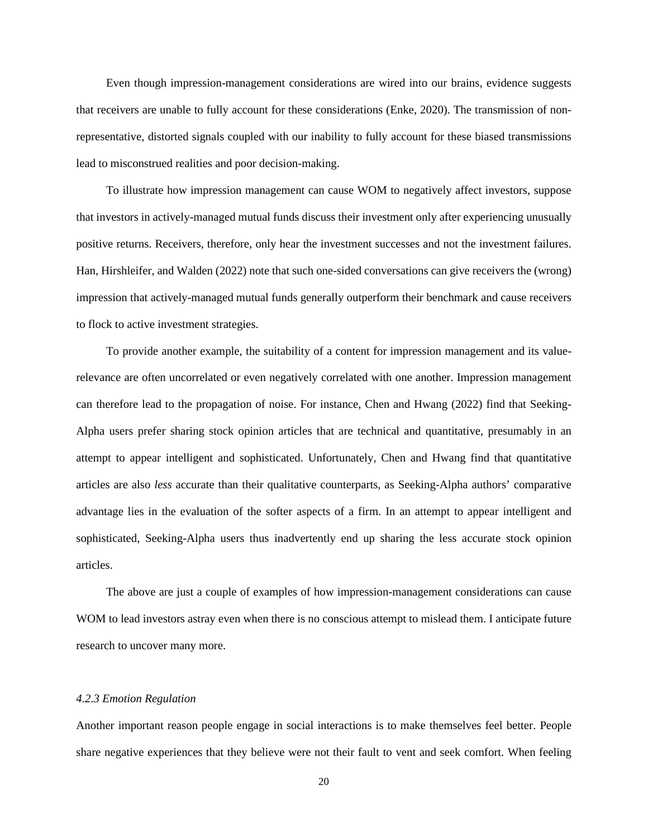Even though impression-management considerations are wired into our brains, evidence suggests that receivers are unable to fully account for these considerations (Enke, 2020). The transmission of nonrepresentative, distorted signals coupled with our inability to fully account for these biased transmissions lead to misconstrued realities and poor decision-making.

To illustrate how impression management can cause WOM to negatively affect investors, suppose that investors in actively-managed mutual funds discuss their investment only after experiencing unusually positive returns. Receivers, therefore, only hear the investment successes and not the investment failures. Han, Hirshleifer, and Walden (2022) note that such one-sided conversations can give receivers the (wrong) impression that actively-managed mutual funds generally outperform their benchmark and cause receivers to flock to active investment strategies.

To provide another example, the suitability of a content for impression management and its valuerelevance are often uncorrelated or even negatively correlated with one another. Impression management can therefore lead to the propagation of noise. For instance, Chen and Hwang (2022) find that Seeking-Alpha users prefer sharing stock opinion articles that are technical and quantitative, presumably in an attempt to appear intelligent and sophisticated. Unfortunately, Chen and Hwang find that quantitative articles are also *less* accurate than their qualitative counterparts, as Seeking-Alpha authors' comparative advantage lies in the evaluation of the softer aspects of a firm. In an attempt to appear intelligent and sophisticated, Seeking-Alpha users thus inadvertently end up sharing the less accurate stock opinion articles.

The above are just a couple of examples of how impression-management considerations can cause WOM to lead investors astray even when there is no conscious attempt to mislead them. I anticipate future research to uncover many more.

# *4.2.3 Emotion Regulation*

Another important reason people engage in social interactions is to make themselves feel better. People share negative experiences that they believe were not their fault to vent and seek comfort. When feeling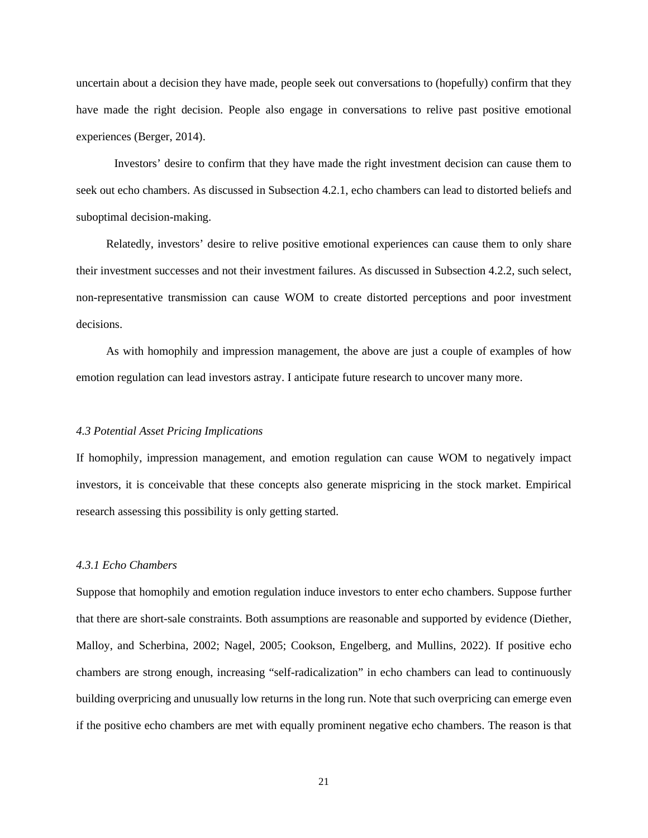uncertain about a decision they have made, people seek out conversations to (hopefully) confirm that they have made the right decision. People also engage in conversations to relive past positive emotional experiences (Berger, 2014).

 Investors' desire to confirm that they have made the right investment decision can cause them to seek out echo chambers. As discussed in Subsection 4.2.1, echo chambers can lead to distorted beliefs and suboptimal decision-making.

Relatedly, investors' desire to relive positive emotional experiences can cause them to only share their investment successes and not their investment failures. As discussed in Subsection 4.2.2, such select, non-representative transmission can cause WOM to create distorted perceptions and poor investment decisions.

As with homophily and impression management, the above are just a couple of examples of how emotion regulation can lead investors astray. I anticipate future research to uncover many more.

#### *4.3 Potential Asset Pricing Implications*

If homophily, impression management, and emotion regulation can cause WOM to negatively impact investors, it is conceivable that these concepts also generate mispricing in the stock market. Empirical research assessing this possibility is only getting started.

# *4.3.1 Echo Chambers*

Suppose that homophily and emotion regulation induce investors to enter echo chambers. Suppose further that there are short-sale constraints. Both assumptions are reasonable and supported by evidence (Diether, Malloy, and Scherbina, 2002; Nagel, 2005; Cookson, Engelberg, and Mullins, 2022). If positive echo chambers are strong enough, increasing "self-radicalization" in echo chambers can lead to continuously building overpricing and unusually low returns in the long run. Note that such overpricing can emerge even if the positive echo chambers are met with equally prominent negative echo chambers. The reason is that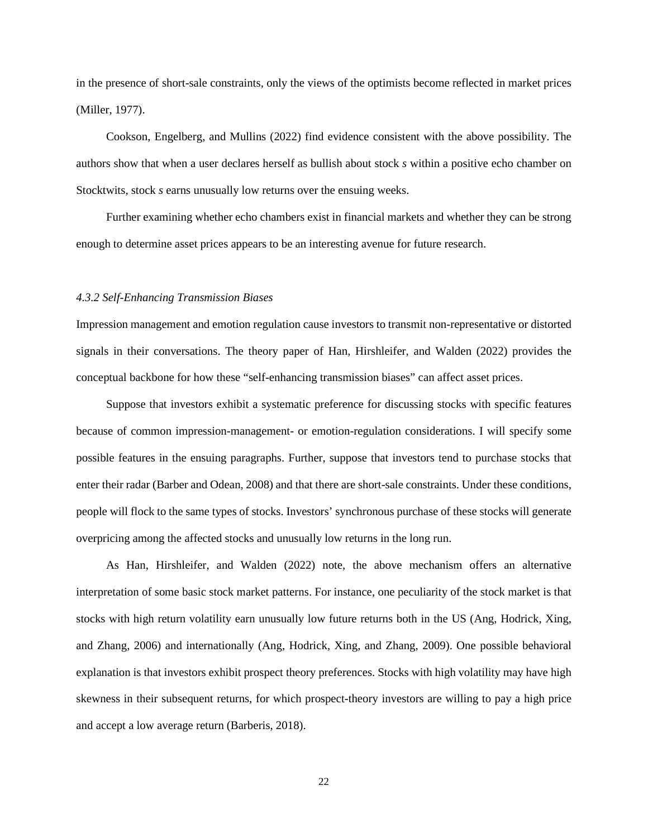in the presence of short-sale constraints, only the views of the optimists become reflected in market prices (Miller, 1977).

Cookson, Engelberg, and Mullins (2022) find evidence consistent with the above possibility. The authors show that when a user declares herself as bullish about stock *s* within a positive echo chamber on Stocktwits, stock *s* earns unusually low returns over the ensuing weeks.

Further examining whether echo chambers exist in financial markets and whether they can be strong enough to determine asset prices appears to be an interesting avenue for future research.

#### *4.3.2 Self-Enhancing Transmission Biases*

Impression management and emotion regulation cause investors to transmit non-representative or distorted signals in their conversations. The theory paper of Han, Hirshleifer, and Walden (2022) provides the conceptual backbone for how these "self-enhancing transmission biases" can affect asset prices.

Suppose that investors exhibit a systematic preference for discussing stocks with specific features because of common impression-management- or emotion-regulation considerations. I will specify some possible features in the ensuing paragraphs. Further, suppose that investors tend to purchase stocks that enter their radar (Barber and Odean, 2008) and that there are short-sale constraints. Under these conditions, people will flock to the same types of stocks. Investors' synchronous purchase of these stocks will generate overpricing among the affected stocks and unusually low returns in the long run.

As Han, Hirshleifer, and Walden (2022) note, the above mechanism offers an alternative interpretation of some basic stock market patterns. For instance, one peculiarity of the stock market is that stocks with high return volatility earn unusually low future returns both in the US (Ang, Hodrick, Xing, and Zhang, 2006) and internationally (Ang, Hodrick, Xing, and Zhang, 2009). One possible behavioral explanation is that investors exhibit prospect theory preferences. Stocks with high volatility may have high skewness in their subsequent returns, for which prospect-theory investors are willing to pay a high price and accept a low average return (Barberis, 2018).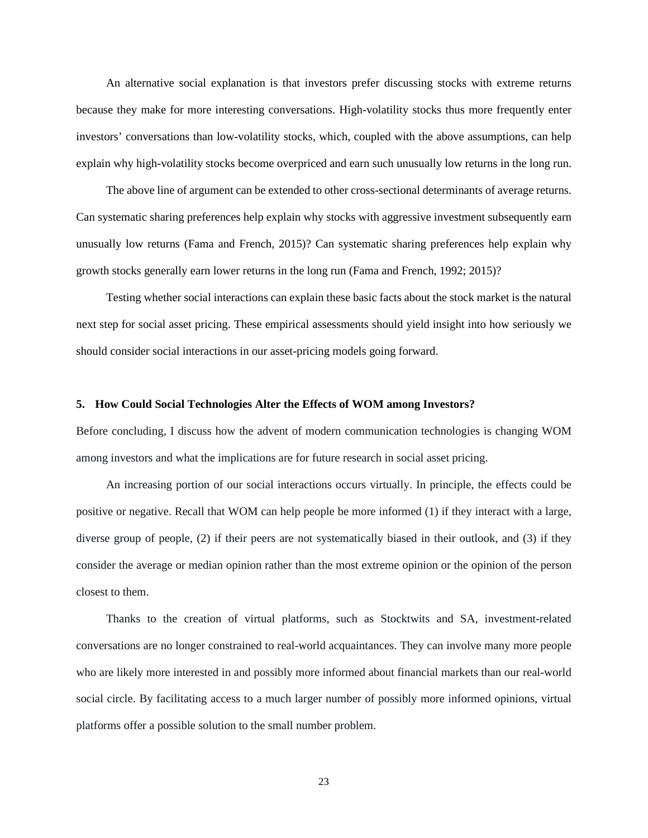An alternative social explanation is that investors prefer discussing stocks with extreme returns because they make for more interesting conversations. High-volatility stocks thus more frequently enter investors' conversations than low-volatility stocks, which, coupled with the above assumptions, can help explain why high-volatility stocks become overpriced and earn such unusually low returns in the long run.

The above line of argument can be extended to other cross-sectional determinants of average returns. Can systematic sharing preferences help explain why stocks with aggressive investment subsequently earn unusually low returns (Fama and French, 2015)? Can systematic sharing preferences help explain why growth stocks generally earn lower returns in the long run (Fama and French, 1992; 2015)?

Testing whether social interactions can explain these basic facts about the stock market is the natural next step for social asset pricing. These empirical assessments should yield insight into how seriously we should consider social interactions in our asset-pricing models going forward.

#### **5. How Could Social Technologies Alter the Effects of WOM among Investors?**

Before concluding, I discuss how the advent of modern communication technologies is changing WOM among investors and what the implications are for future research in social asset pricing.

An increasing portion of our social interactions occurs virtually. In principle, the effects could be positive or negative. Recall that WOM can help people be more informed (1) if they interact with a large, diverse group of people, (2) if their peers are not systematically biased in their outlook, and (3) if they consider the average or median opinion rather than the most extreme opinion or the opinion of the person closest to them.

Thanks to the creation of virtual platforms, such as Stocktwits and SA, investment-related conversations are no longer constrained to real-world acquaintances. They can involve many more people who are likely more interested in and possibly more informed about financial markets than our real-world social circle. By facilitating access to a much larger number of possibly more informed opinions, virtual platforms offer a possible solution to the small number problem.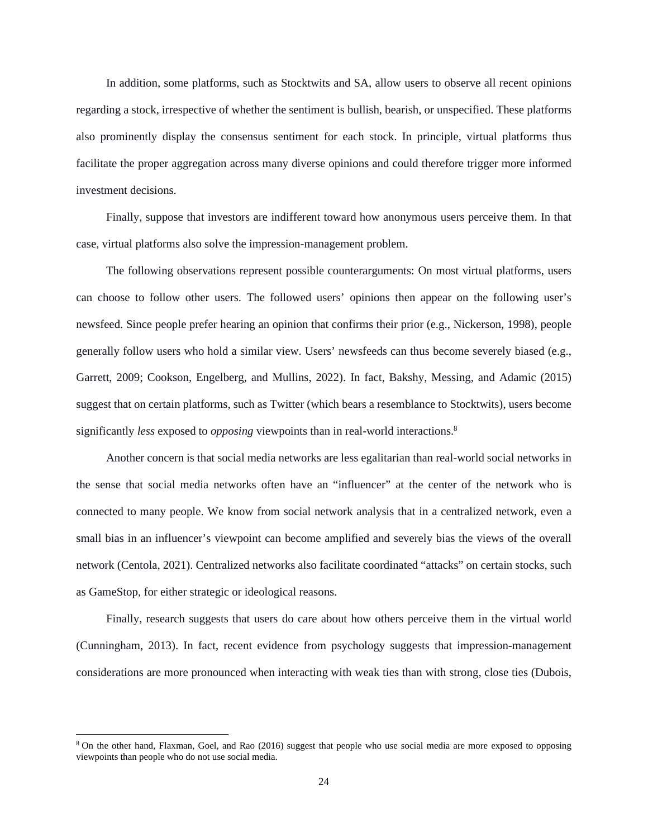In addition, some platforms, such as Stocktwits and SA, allow users to observe all recent opinions regarding a stock, irrespective of whether the sentiment is bullish, bearish, or unspecified. These platforms also prominently display the consensus sentiment for each stock. In principle, virtual platforms thus facilitate the proper aggregation across many diverse opinions and could therefore trigger more informed investment decisions.

Finally, suppose that investors are indifferent toward how anonymous users perceive them. In that case, virtual platforms also solve the impression-management problem.

The following observations represent possible counterarguments: On most virtual platforms, users can choose to follow other users. The followed users' opinions then appear on the following user's newsfeed. Since people prefer hearing an opinion that confirms their prior (e.g., Nickerson, 1998), people generally follow users who hold a similar view. Users' newsfeeds can thus become severely biased (e.g., Garrett, 2009; Cookson, Engelberg, and Mullins, 2022). In fact, Bakshy, Messing, and Adamic (2015) suggest that on certain platforms, such as Twitter (which bears a resemblance to Stocktwits), users become significantly *less* exposed to *opposing* viewpoints than in real-world interactions.[8](#page-24-0)

Another concern is that social media networks are less egalitarian than real-world social networks in the sense that social media networks often have an "influencer" at the center of the network who is connected to many people. We know from social network analysis that in a centralized network, even a small bias in an influencer's viewpoint can become amplified and severely bias the views of the overall network (Centola, 2021). Centralized networks also facilitate coordinated "attacks" on certain stocks, such as GameStop, for either strategic or ideological reasons.

Finally, research suggests that users do care about how others perceive them in the virtual world (Cunningham, 2013). In fact, recent evidence from psychology suggests that impression-management considerations are more pronounced when interacting with weak ties than with strong, close ties (Dubois,

<span id="page-24-0"></span><sup>&</sup>lt;sup>8</sup> On the other hand, Flaxman, Goel, and Rao (2016) suggest that people who use social media are more exposed to opposing viewpoints than people who do not use social media.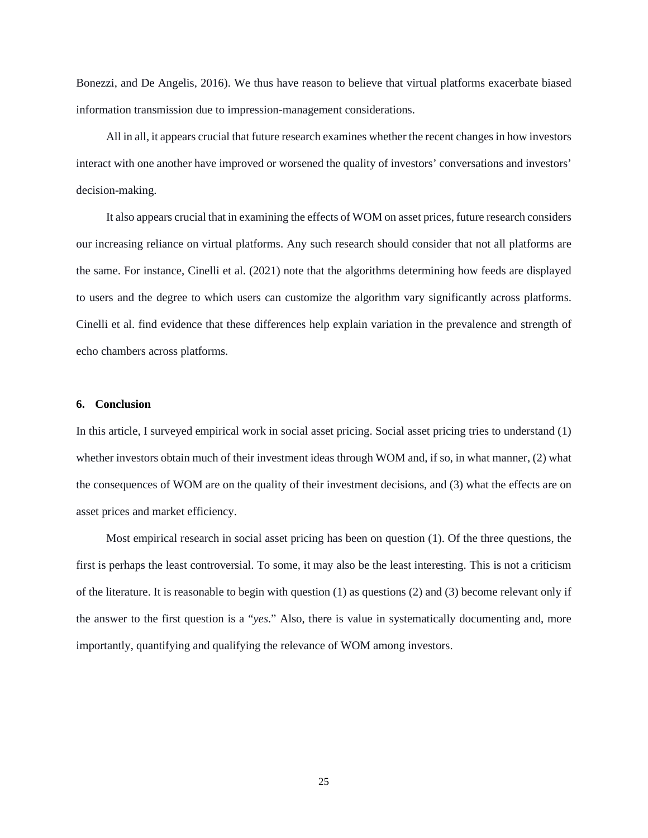Bonezzi, and De Angelis, 2016). We thus have reason to believe that virtual platforms exacerbate biased information transmission due to impression-management considerations.

All in all, it appears crucial that future research examines whether the recent changes in how investors interact with one another have improved or worsened the quality of investors' conversations and investors' decision-making.

It also appears crucial that in examining the effects of WOM on asset prices, future research considers our increasing reliance on virtual platforms. Any such research should consider that not all platforms are the same. For instance, Cinelli et al. (2021) note that the algorithms determining how feeds are displayed to users and the degree to which users can customize the algorithm vary significantly across platforms. Cinelli et al. find evidence that these differences help explain variation in the prevalence and strength of echo chambers across platforms.

### **6. Conclusion**

In this article, I surveyed empirical work in social asset pricing. Social asset pricing tries to understand (1) whether investors obtain much of their investment ideas through WOM and, if so, in what manner, (2) what the consequences of WOM are on the quality of their investment decisions, and (3) what the effects are on asset prices and market efficiency.

Most empirical research in social asset pricing has been on question (1). Of the three questions, the first is perhaps the least controversial. To some, it may also be the least interesting. This is not a criticism of the literature. It is reasonable to begin with question (1) as questions (2) and (3) become relevant only if the answer to the first question is a "*yes*." Also, there is value in systematically documenting and, more importantly, quantifying and qualifying the relevance of WOM among investors.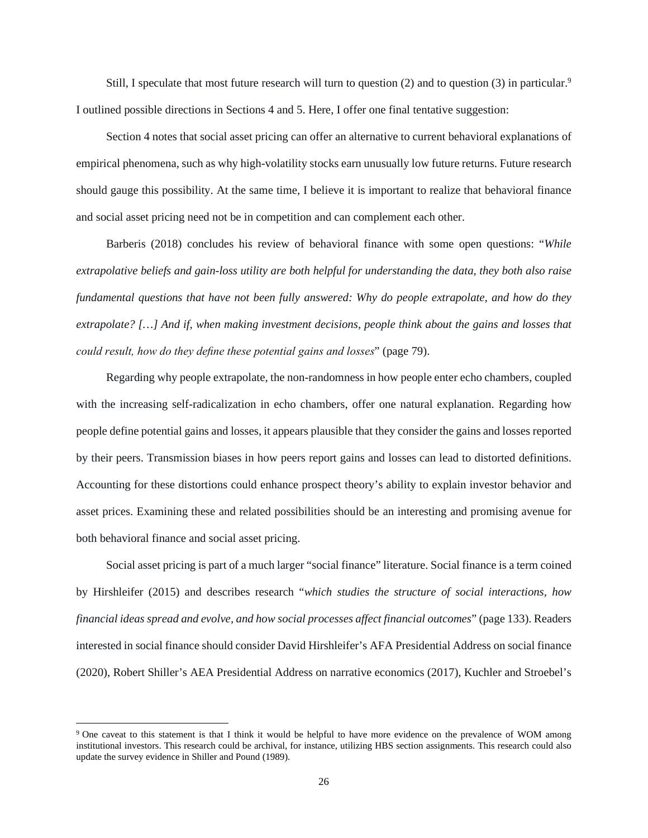Still, I speculate that most future research will turn to question  $(2)$  and to question  $(3)$  in particular.<sup>[9](#page-26-0)</sup> I outlined possible directions in Sections 4 and 5. Here, I offer one final tentative suggestion:

Section 4 notes that social asset pricing can offer an alternative to current behavioral explanations of empirical phenomena, such as why high-volatility stocks earn unusually low future returns. Future research should gauge this possibility. At the same time, I believe it is important to realize that behavioral finance and social asset pricing need not be in competition and can complement each other.

Barberis (2018) concludes his review of behavioral finance with some open questions: "*While extrapolative beliefs and gain-loss utility are both helpful for understanding the data, they both also raise fundamental questions that have not been fully answered: Why do people extrapolate, and how do they extrapolate? […] And if, when making investment decisions, people think about the gains and losses that could result, how do they define these potential gains and losses*" (page 79).

Regarding why people extrapolate, the non-randomness in how people enter echo chambers, coupled with the increasing self-radicalization in echo chambers, offer one natural explanation. Regarding how people define potential gains and losses, it appears plausible that they consider the gains and losses reported by their peers. Transmission biases in how peers report gains and losses can lead to distorted definitions. Accounting for these distortions could enhance prospect theory's ability to explain investor behavior and asset prices. Examining these and related possibilities should be an interesting and promising avenue for both behavioral finance and social asset pricing.

Social asset pricing is part of a much larger "social finance" literature. Social finance is a term coined by Hirshleifer (2015) and describes research "*which studies the structure of social interactions, how financial ideas spread and evolve, and how social processes affect financial outcomes*" (page 133). Readers interested in social finance should consider David Hirshleifer's AFA Presidential Address on social finance (2020), Robert Shiller's AEA Presidential Address on narrative economics (2017), Kuchler and Stroebel's

<span id="page-26-0"></span><sup>&</sup>lt;sup>9</sup> One caveat to this statement is that I think it would be helpful to have more evidence on the prevalence of WOM among institutional investors. This research could be archival, for instance, utilizing HBS section assignments. This research could also update the survey evidence in Shiller and Pound (1989).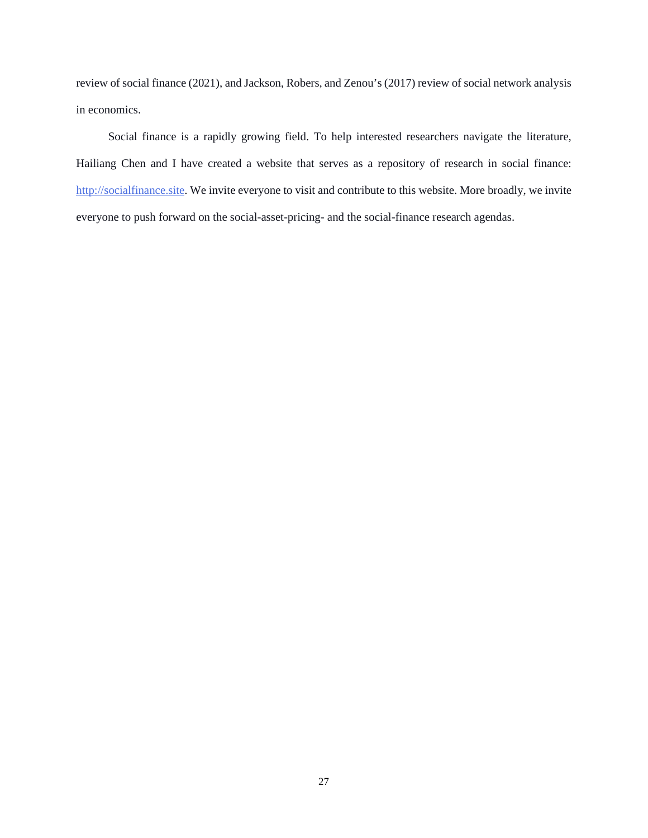review of social finance (2021), and Jackson, Robers, and Zenou's (2017) review of social network analysis in economics.

 Social finance is a rapidly growing field. To help interested researchers navigate the literature, Hailiang Chen and I have created a website that serves as a repository of research in social finance: [http://socialfinance.site](http://socialfinance.site/). We invite everyone to visit and contribute to this website. More broadly, we invite everyone to push forward on the social-asset-pricing- and the social-finance research agendas.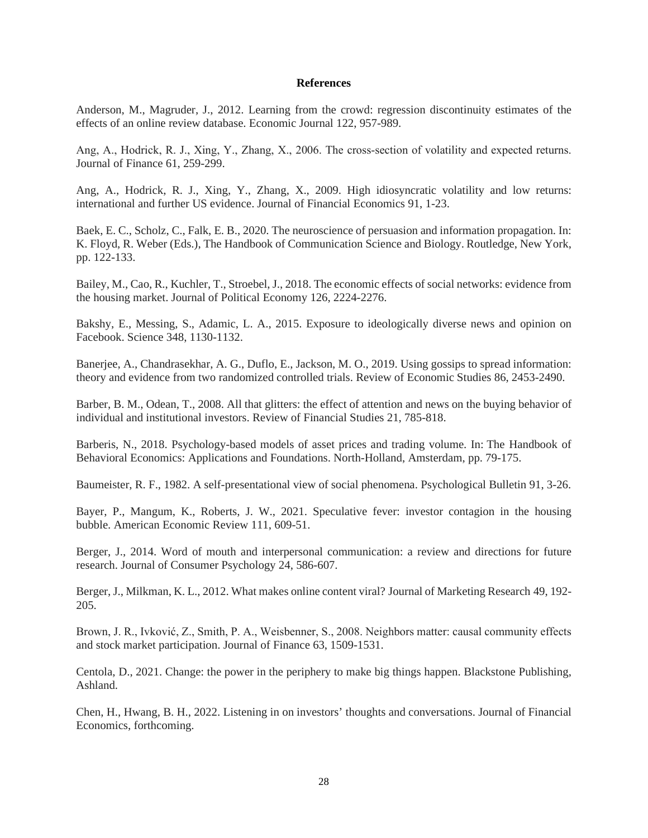#### **References**

Anderson, M., Magruder, J., 2012. Learning from the crowd: regression discontinuity estimates of the effects of an online review database. Economic Journal 122, 957-989.

Ang, A., Hodrick, R. J., Xing, Y., Zhang, X., 2006. The cross-section of volatility and expected returns. Journal of Finance 61, 259-299.

Ang, A., Hodrick, R. J., Xing, Y., Zhang, X., 2009. High idiosyncratic volatility and low returns: international and further US evidence. Journal of Financial Economics 91, 1-23.

Baek, E. C., Scholz, C., Falk, E. B., 2020. The neuroscience of persuasion and information propagation. In: K. Floyd, R. Weber (Eds.), The Handbook of Communication Science and Biology. Routledge, New York, pp. 122-133.

Bailey, M., Cao, R., Kuchler, T., Stroebel, J., 2018. The economic effects of social networks: evidence from the housing market. Journal of Political Economy 126, 2224-2276.

Bakshy, E., Messing, S., Adamic, L. A., 2015. Exposure to ideologically diverse news and opinion on Facebook. Science 348, 1130-1132.

Banerjee, A., Chandrasekhar, A. G., Duflo, E., Jackson, M. O., 2019. Using gossips to spread information: theory and evidence from two randomized controlled trials. Review of Economic Studies 86, 2453-2490.

Barber, B. M., Odean, T., 2008. All that glitters: the effect of attention and news on the buying behavior of individual and institutional investors. Review of Financial Studies 21, 785-818.

Barberis, N., 2018. Psychology-based models of asset prices and trading volume. In: The Handbook of Behavioral Economics: Applications and Foundations. North-Holland, Amsterdam, pp. 79-175.

Baumeister, R. F., 1982. A self-presentational view of social phenomena. Psychological Bulletin 91, 3-26.

Bayer, P., Mangum, K., Roberts, J. W., 2021. Speculative fever: investor contagion in the housing bubble. American Economic Review 111, 609-51.

Berger, J., 2014. Word of mouth and interpersonal communication: a review and directions for future research. Journal of Consumer Psychology 24, 586-607.

Berger, J., Milkman, K. L., 2012. What makes online content viral? Journal of Marketing Research 49, 192- 205.

Brown, J. R., Ivković, Z., Smith, P. A., Weisbenner, S., 2008. Neighbors matter: causal community effects and stock market participation. Journal of Finance 63, 1509-1531.

Centola, D., 2021. Change: the power in the periphery to make big things happen. Blackstone Publishing, Ashland.

Chen, H., Hwang, B. H., 2022. Listening in on investors' thoughts and conversations. Journal of Financial Economics, forthcoming.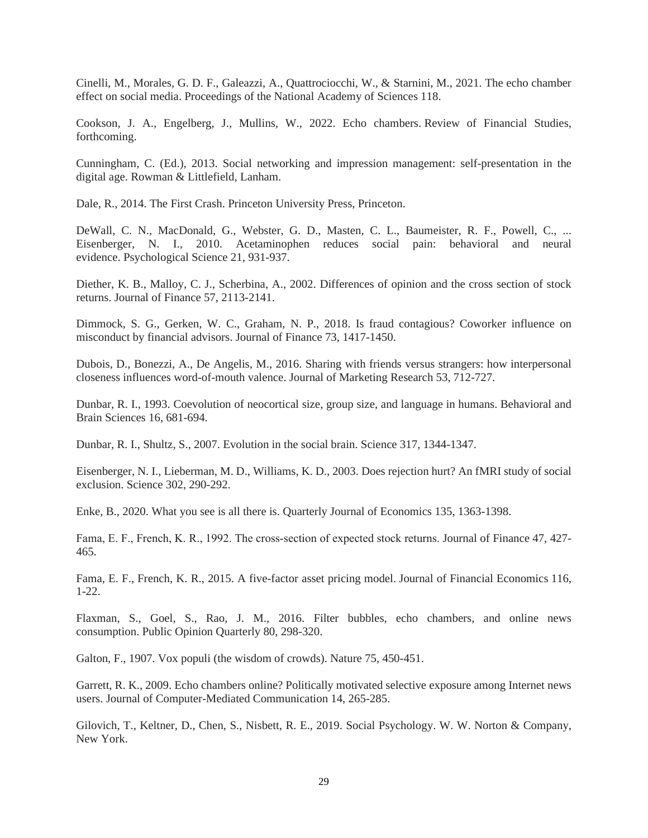Cinelli, M., Morales, G. D. F., Galeazzi, A., Quattrociocchi, W., & Starnini, M., 2021. The echo chamber effect on social media. Proceedings of the National Academy of Sciences 118.

Cookson, J. A., Engelberg, J., Mullins, W., 2022. Echo chambers. Review of Financial Studies, forthcoming.

Cunningham, C. (Ed.), 2013. Social networking and impression management: self-presentation in the digital age. Rowman & Littlefield, Lanham.

Dale, R., 2014. The First Crash. Princeton University Press, Princeton.

DeWall, C. N., MacDonald, G., Webster, G. D., Masten, C. L., Baumeister, R. F., Powell, C., ... Eisenberger, N. I., 2010. Acetaminophen reduces social pain: behavioral and neural evidence. Psychological Science 21, 931-937.

Diether, K. B., Malloy, C. J., Scherbina, A., 2002. Differences of opinion and the cross section of stock returns. Journal of Finance 57, 2113-2141.

Dimmock, S. G., Gerken, W. C., Graham, N. P., 2018. Is fraud contagious? Coworker influence on misconduct by financial advisors. Journal of Finance 73, 1417-1450.

Dubois, D., Bonezzi, A., De Angelis, M., 2016. Sharing with friends versus strangers: how interpersonal closeness influences word-of-mouth valence. Journal of Marketing Research 53, 712-727.

Dunbar, R. I., 1993. Coevolution of neocortical size, group size, and language in humans. Behavioral and Brain Sciences 16, 681-694.

Dunbar, R. I., Shultz, S., 2007. Evolution in the social brain. Science 317, 1344-1347.

Eisenberger, N. I., Lieberman, M. D., Williams, K. D., 2003. Does rejection hurt? An fMRI study of social exclusion. Science 302, 290-292.

Enke, B., 2020. What you see is all there is. Quarterly Journal of Economics 135, 1363-1398.

Fama, E. F., French, K. R., 1992. The cross‐section of expected stock returns. Journal of Finance 47, 427- 465.

Fama, E. F., French, K. R., 2015. A five-factor asset pricing model. Journal of Financial Economics 116, 1-22.

Flaxman, S., Goel, S., Rao, J. M., 2016. Filter bubbles, echo chambers, and online news consumption. Public Opinion Quarterly 80, 298-320.

Galton, F., 1907. Vox populi (the wisdom of crowds). Nature 75, 450-451.

Garrett, R. K., 2009. Echo chambers online? Politically motivated selective exposure among Internet news users. Journal of Computer-Mediated Communication 14, 265-285.

Gilovich, T., Keltner, D., Chen, S., Nisbett, R. E., 2019. Social Psychology. W. W. Norton & Company, New York.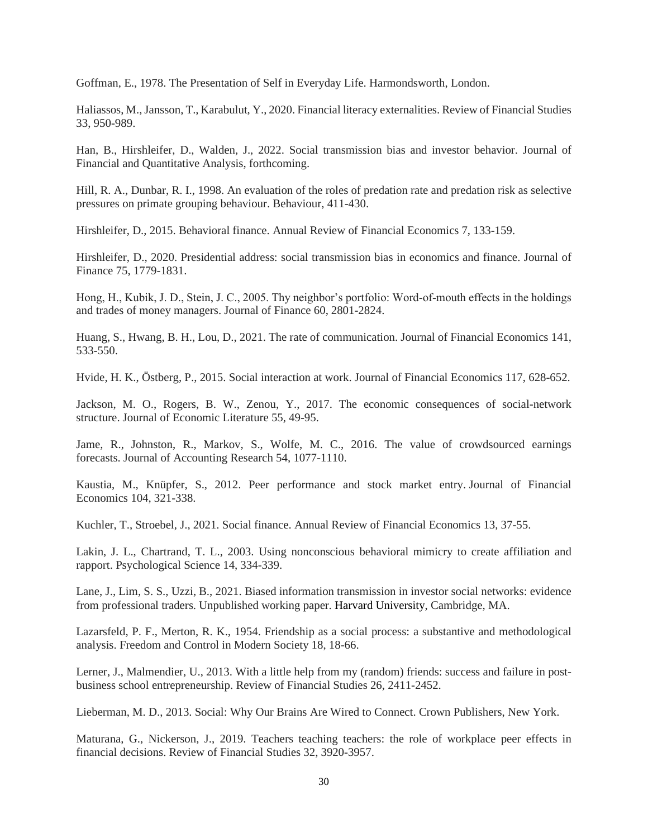Goffman, E., 1978. The Presentation of Self in Everyday Life. Harmondsworth, London.

Haliassos, M., Jansson, T., Karabulut, Y., 2020. Financial literacy externalities. Review of Financial Studies 33, 950-989.

Han, B., Hirshleifer, D., Walden, J., 2022. Social transmission bias and investor behavior. Journal of Financial and Quantitative Analysis, forthcoming.

Hill, R. A., Dunbar, R. I., 1998. An evaluation of the roles of predation rate and predation risk as selective pressures on primate grouping behaviour. Behaviour, 411-430.

Hirshleifer, D., 2015. Behavioral finance. Annual Review of Financial Economics 7, 133-159.

Hirshleifer, D., 2020. Presidential address: social transmission bias in economics and finance. Journal of Finance 75, 1779-1831.

Hong, H., Kubik, J. D., Stein, J. C., 2005. Thy neighbor's portfolio: Word-of-mouth effects in the holdings and trades of money managers. Journal of Finance 60, 2801-2824.

Huang, S., Hwang, B. H., Lou, D., 2021. The rate of communication. Journal of Financial Economics 141, 533-550.

Hvide, H. K., Östberg, P., 2015. Social interaction at work. Journal of Financial Economics 117, 628-652.

Jackson, M. O., Rogers, B. W., Zenou, Y., 2017. The economic consequences of social-network structure. Journal of Economic Literature 55, 49-95.

Jame, R., Johnston, R., Markov, S., Wolfe, M. C., 2016. The value of crowdsourced earnings forecasts. Journal of Accounting Research 54, 1077-1110.

Kaustia, M., Knüpfer, S., 2012. Peer performance and stock market entry. Journal of Financial Economics 104, 321-338.

Kuchler, T., Stroebel, J., 2021. Social finance. Annual Review of Financial Economics 13, 37-55.

Lakin, J. L., Chartrand, T. L., 2003. Using nonconscious behavioral mimicry to create affiliation and rapport. Psychological Science 14, 334-339.

Lane, J., Lim, S. S., Uzzi, B., 2021. Biased information transmission in investor social networks: evidence from professional traders. Unpublished working paper. Harvard University, Cambridge, MA.

Lazarsfeld, P. F., Merton, R. K., 1954. Friendship as a social process: a substantive and methodological analysis. Freedom and Control in Modern Society 18, 18-66.

Lerner, J., Malmendier, U., 2013. With a little help from my (random) friends: success and failure in postbusiness school entrepreneurship. Review of Financial Studies 26, 2411-2452.

Lieberman, M. D., 2013. Social: Why Our Brains Are Wired to Connect. Crown Publishers, New York.

Maturana, G., Nickerson, J., 2019. Teachers teaching teachers: the role of workplace peer effects in financial decisions. Review of Financial Studies 32, 3920-3957.